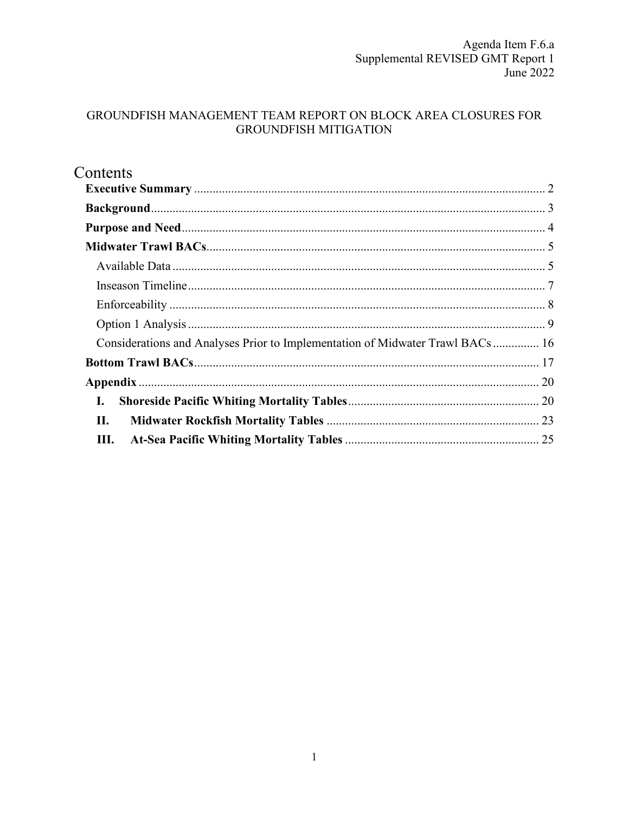## GROUNDFISH MANAGEMENT TEAM REPORT ON BLOCK AREA CLOSURES FOR **GROUNDFISH MITIGATION**

<span id="page-0-0"></span>

| Contents                                                                      |  |
|-------------------------------------------------------------------------------|--|
|                                                                               |  |
|                                                                               |  |
|                                                                               |  |
|                                                                               |  |
|                                                                               |  |
|                                                                               |  |
|                                                                               |  |
|                                                                               |  |
| Considerations and Analyses Prior to Implementation of Midwater Trawl BACs 16 |  |
|                                                                               |  |
|                                                                               |  |
| I.                                                                            |  |
| II.                                                                           |  |
| Ш.                                                                            |  |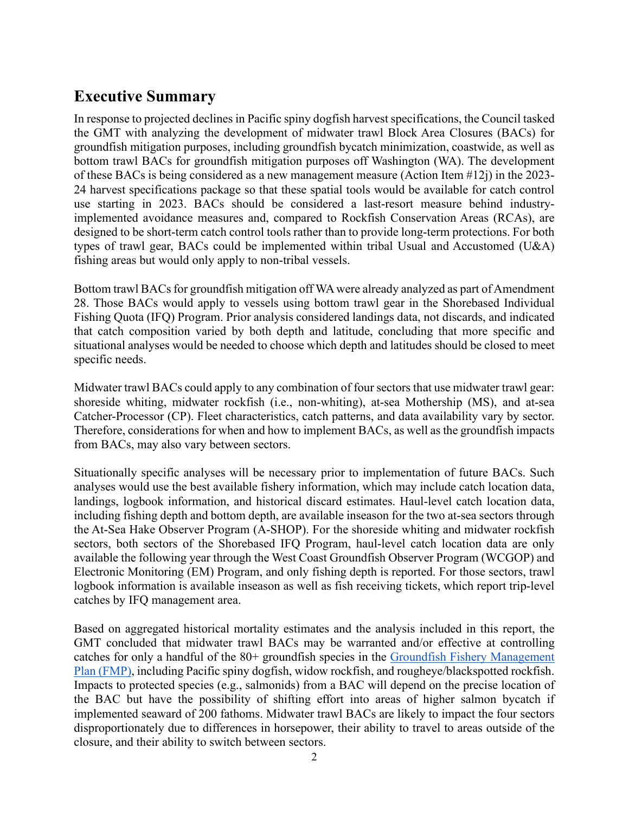# **Executive Summary**

In response to projected declines in Pacific spiny dogfish harvest specifications, the Council tasked the GMT with analyzing the development of midwater trawl Block Area Closures (BACs) for groundfish mitigation purposes, including groundfish bycatch minimization, coastwide, as well as bottom trawl BACs for groundfish mitigation purposes off Washington (WA). The development of these BACs is being considered as a new management measure (Action Item #12j) in the 2023- 24 harvest specifications package so that these spatial tools would be available for catch control use starting in 2023. BACs should be considered a last-resort measure behind industryimplemented avoidance measures and, compared to Rockfish Conservation Areas (RCAs), are designed to be short-term catch control tools rather than to provide long-term protections. For both types of trawl gear, BACs could be implemented within tribal Usual and Accustomed (U&A) fishing areas but would only apply to non-tribal vessels.

Bottom trawl BACs for groundfish mitigation off WA were already analyzed as part of Amendment 28. Those BACs would apply to vessels using bottom trawl gear in the Shorebased Individual Fishing Quota (IFQ) Program. Prior analysis considered landings data, not discards, and indicated that catch composition varied by both depth and latitude, concluding that more specific and situational analyses would be needed to choose which depth and latitudes should be closed to meet specific needs.

Midwater trawl BACs could apply to any combination of four sectors that use midwater trawl gear: shoreside whiting, midwater rockfish (i.e., non-whiting), at-sea Mothership (MS), and at-sea Catcher-Processor (CP). Fleet characteristics, catch patterns, and data availability vary by sector. Therefore, considerations for when and how to implement BACs, as well as the groundfish impacts from BACs, may also vary between sectors.

Situationally specific analyses will be necessary prior to implementation of future BACs. Such analyses would use the best available fishery information, which may include catch location data, landings, logbook information, and historical discard estimates. Haul-level catch location data, including fishing depth and bottom depth, are available inseason for the two at-sea sectors through the At-Sea Hake Observer Program (A-SHOP). For the shoreside whiting and midwater rockfish sectors, both sectors of the Shorebased IFQ Program, haul-level catch location data are only available the following year through the West Coast Groundfish Observer Program (WCGOP) and Electronic Monitoring (EM) Program, and only fishing depth is reported. For those sectors, trawl logbook information is available inseason as well as fish receiving tickets, which report trip-level catches by IFQ management area.

Based on aggregated historical mortality estimates and the analysis included in this report, the GMT concluded that midwater trawl BACs may be warranted and/or effective at controlling catches for only a handful of the 80+ groundfish species in the [Groundfish Fishery Management](https://www.pcouncil.org/documents/2016/08/pacific-coast-groundfish-fishery-management-plan.pdf/)  [Plan \(FMP\),](https://www.pcouncil.org/documents/2016/08/pacific-coast-groundfish-fishery-management-plan.pdf/) including Pacific spiny dogfish, widow rockfish, and rougheye/blackspotted rockfish. Impacts to protected species (e.g., salmonids) from a BAC will depend on the precise location of the BAC but have the possibility of shifting effort into areas of higher salmon bycatch if implemented seaward of 200 fathoms. Midwater trawl BACs are likely to impact the four sectors disproportionately due to differences in horsepower, their ability to travel to areas outside of the closure, and their ability to switch between sectors.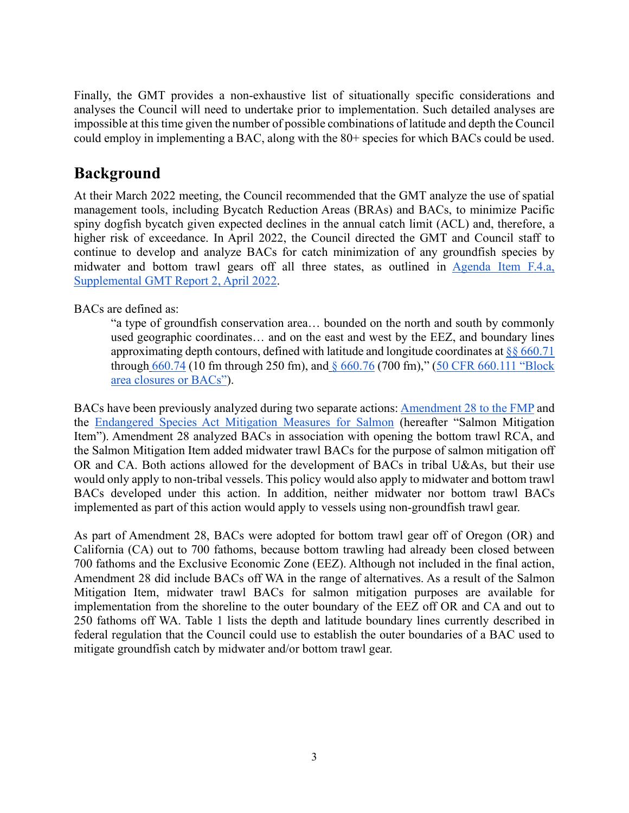Finally, the GMT provides a non-exhaustive list of situationally specific considerations and analyses the Council will need to undertake prior to implementation. Such detailed analyses are impossible at this time given the number of possible combinations of latitude and depth the Council could employ in implementing a BAC, along with the 80+ species for which BACs could be used.

# <span id="page-2-0"></span>**Background**

At their March 2022 meeting, the Council recommended that the GMT analyze the use of spatial management tools, including Bycatch Reduction Areas (BRAs) and BACs, to minimize Pacific spiny dogfish bycatch given expected declines in the annual catch limit (ACL) and, therefore, a higher risk of exceedance. In April 2022, the Council directed the GMT and Council staff to continue to develop and analyze BACs for catch minimization of any groundfish species by midwater and bottom trawl gears off all three states, as outlined in [Agenda Item F.4.a,](https://www.pcouncil.org/documents/2022/03/f-4-a-supplemental-gmt-report-2.pdf/)  [Supplemental GMT Report 2, April 2022.](https://www.pcouncil.org/documents/2022/03/f-4-a-supplemental-gmt-report-2.pdf/)

### BACs are defined as:

"a type of groundfish conservation area… bounded on the north and south by commonly used geographic coordinates… and on the east and west by the EEZ, and boundary lines approximating depth contours, defined with latitude and longitude coordinates at  $\frac{8}{660.71}$ through [660.74](https://www.ecfr.gov/current/title-50/section-660.74) (10 fm through 250 fm), and [§ 660.76](https://www.ecfr.gov/current/title-50/section-660.76) (700 fm)," [\(50 CFR 660.111 "Block](https://www.ecfr.gov/current/title-50/chapter-VI/part-660/subpart-D/section-660.111#p-660.111(Block%20area%20closures%20or%20BACs))  [area closures or BACs"\)](https://www.ecfr.gov/current/title-50/chapter-VI/part-660/subpart-D/section-660.111#p-660.111(Block%20area%20closures%20or%20BACs)).

BACs have been previously analyzed during two separate actions: [Amendment 28 to the FMP](https://media.fisheries.noaa.gov/dam-migration/feis-groundfish-am28-7-19.pdf) and the [Endangered Species Act Mitigation Measures for Salmon](https://www.pcouncil.org/documents/2019/10/agenda-item-h-9-attachment-1-revised-initial-review-draft-preliminary-preferred-alternatives-regulatory-impact-review-for-proposed-endangered-species-act-salmon-bycatch-mitigation-measures-under.pdf/) (hereafter "Salmon Mitigation Item"). Amendment 28 analyzed BACs in association with opening the bottom trawl RCA, and the Salmon Mitigation Item added midwater trawl BACs for the purpose of salmon mitigation off OR and CA. Both actions allowed for the development of BACs in tribal U&As, but their use would only apply to non-tribal vessels. This policy would also apply to midwater and bottom trawl BACs developed under this action. In addition, neither midwater nor bottom trawl BACs implemented as part of this action would apply to vessels using non-groundfish trawl gear.

As part of Amendment 28, BACs were adopted for bottom trawl gear off of Oregon (OR) and California (CA) out to 700 fathoms, because bottom trawling had already been closed between 700 fathoms and the Exclusive Economic Zone (EEZ). Although not included in the final action, Amendment 28 did include BACs off WA in the range of alternatives. As a result of the Salmon Mitigation Item, midwater trawl BACs for salmon mitigation purposes are available for implementation from the shoreline to the outer boundary of the EEZ off OR and CA and out to 250 fathoms off WA. Table 1 lists the depth and latitude boundary lines currently described in federal regulation that the Council could use to establish the outer boundaries of a BAC used to mitigate groundfish catch by midwater and/or bottom trawl gear.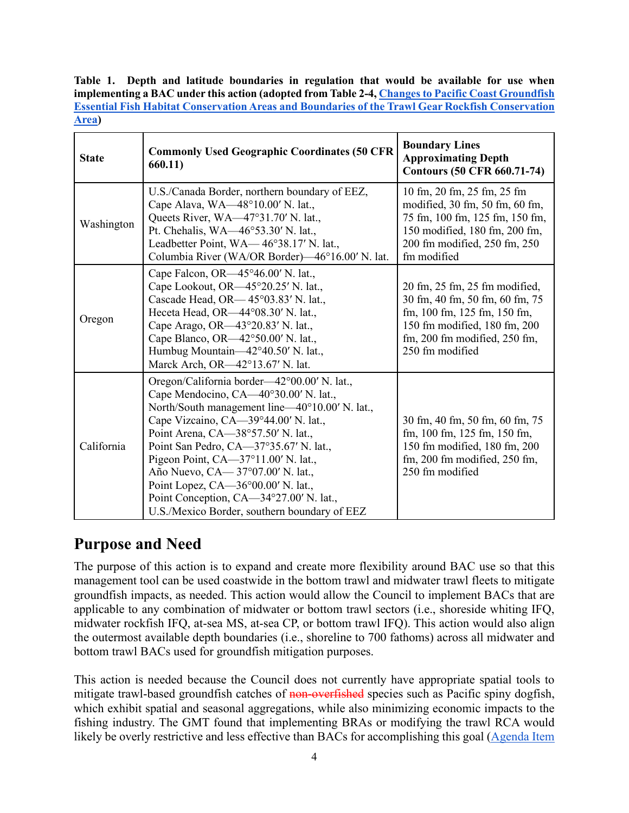**Table 1. Depth and latitude boundaries in regulation that would be available for use when implementing a BAC under this action (adopted from Table 2-4, [Changes to Pacific Coast Groundfish](https://media.fisheries.noaa.gov/dam-migration/feis-groundfish-am28-7-19.pdf)  [Essential Fish Habitat Conservation Areas and Boundaries of the Trawl Gear Rockfish Conservation](https://media.fisheries.noaa.gov/dam-migration/feis-groundfish-am28-7-19.pdf)  [Area\)](https://media.fisheries.noaa.gov/dam-migration/feis-groundfish-am28-7-19.pdf)**

| <b>State</b> | <b>Commonly Used Geographic Coordinates (50 CFR</b><br>660.11)                                                                                                                                                                                                                                                                                                                                                                                                               | <b>Boundary Lines</b><br><b>Approximating Depth</b><br><b>Contours (50 CFR 660.71-74)</b>                                                                                               |
|--------------|------------------------------------------------------------------------------------------------------------------------------------------------------------------------------------------------------------------------------------------------------------------------------------------------------------------------------------------------------------------------------------------------------------------------------------------------------------------------------|-----------------------------------------------------------------------------------------------------------------------------------------------------------------------------------------|
| Washington   | U.S./Canada Border, northern boundary of EEZ,<br>Cape Alava, WA—48°10.00' N. lat.,<br>Queets River, WA-47°31.70' N. lat.,<br>Pt. Chehalis, WA—46°53.30' N. lat.,<br>Leadbetter Point, WA—46°38.17' N. lat.,<br>Columbia River (WA/OR Border)—46°16.00' N. lat.                                                                                                                                                                                                               | 10 fm, 20 fm, 25 fm, 25 fm<br>modified, 30 fm, 50 fm, 60 fm,<br>75 fm, 100 fm, 125 fm, 150 fm,<br>150 modified, 180 fm, 200 fm,<br>200 fm modified, 250 fm, 250<br>fm modified          |
| Oregon       | Cape Falcon, OR $-45^{\circ}46.00'$ N. lat.,<br>Cape Lookout, OR-45°20.25' N. lat.,<br>Cascade Head, OR-45°03.83' N. lat.,<br>Heceta Head, OR-44°08.30' N. lat.,<br>Cape Arago, OR-43°20.83' N. lat.,<br>Cape Blanco, OR-42°50.00' N. lat.,<br>Humbug Mountain-42°40.50' N. lat.,<br>Marck Arch, OR-42°13.67' N. lat.                                                                                                                                                        | 20 fm, 25 fm, 25 fm modified,<br>30 fm, 40 fm, 50 fm, 60 fm, 75<br>fm, $100$ fm, $125$ fm, $150$ fm,<br>150 fm modified, 180 fm, 200<br>fm, 200 fm modified, 250 fm,<br>250 fm modified |
| California   | Oregon/California border—42°00.00' N. lat.,<br>Cape Mendocino, CA—40°30.00' N. lat.,<br>North/South management line—40°10.00' N. lat.,<br>Cape Vizcaino, CA-39°44.00' N. lat.,<br>Point Arena, CA-38°57.50' N. lat.,<br>Point San Pedro, CA-37°35.67' N. lat.,<br>Pigeon Point, CA-37°11.00' N. lat.,<br>Año Nuevo, CA - 37°07.00' N. lat.,<br>Point Lopez, CA-36°00.00' N. lat.,<br>Point Conception, CA-34°27.00' N. lat.,<br>U.S./Mexico Border, southern boundary of EEZ | 30 fm, 40 fm, 50 fm, 60 fm, 75<br>fm, 100 fm, 125 fm, 150 fm,<br>150 fm modified, 180 fm, 200<br>fm, $200$ fm modified, $250$ fm,<br>250 fm modified                                    |

## <span id="page-3-0"></span>**Purpose and Need**

The purpose of this action is to expand and create more flexibility around BAC use so that this management tool can be used coastwide in the bottom trawl and midwater trawl fleets to mitigate groundfish impacts, as needed. This action would allow the Council to implement BACs that are applicable to any combination of midwater or bottom trawl sectors (i.e., shoreside whiting IFQ, midwater rockfish IFQ, at-sea MS, at-sea CP, or bottom trawl IFQ). This action would also align the outermost available depth boundaries (i.e., shoreline to 700 fathoms) across all midwater and bottom trawl BACs used for groundfish mitigation purposes.

This action is needed because the Council does not currently have appropriate spatial tools to mitigate trawl-based groundfish catches of non-overfished species such as Pacific spiny dogfish, which exhibit spatial and seasonal aggregations, while also minimizing economic impacts to the fishing industry. The GMT found that implementing BRAs or modifying the trawl RCA would likely be overly restrictive and less effective than BACs for accomplishing this goal [\(Agenda Item](https://www.pcouncil.org/documents/2022/03/f-4-a-supplemental-gmt-report-2.pdf/)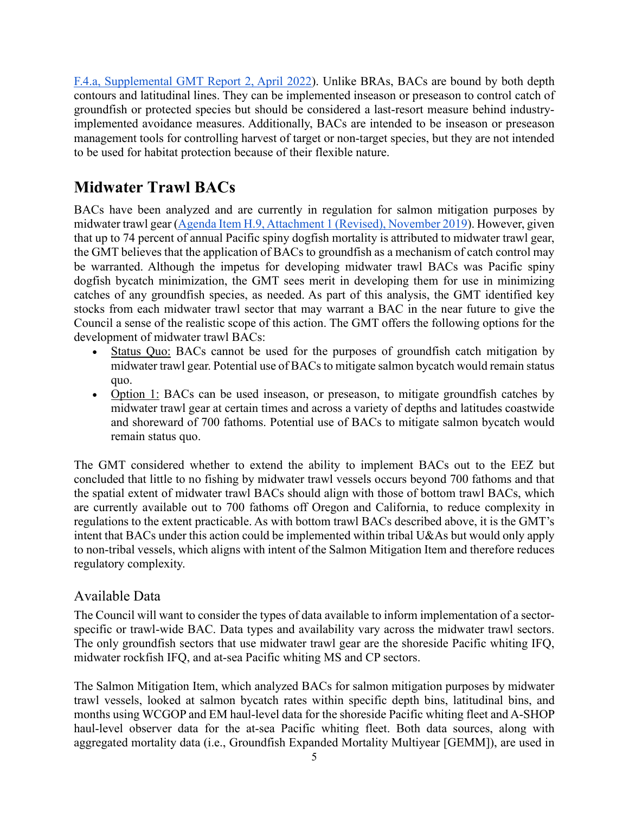[F.4.a, Supplemental GMT Report 2, April 2022\)](https://www.pcouncil.org/documents/2022/03/f-4-a-supplemental-gmt-report-2.pdf/). Unlike BRAs, BACs are bound by both depth contours and latitudinal lines. They can be implemented inseason or preseason to control catch of groundfish or protected species but should be considered a last-resort measure behind industryimplemented avoidance measures. Additionally, BACs are intended to be inseason or preseason management tools for controlling harvest of target or non-target species, but they are not intended to be used for habitat protection because of their flexible nature.

# <span id="page-4-0"></span>**Midwater Trawl BACs**

BACs have been analyzed and are currently in regulation for salmon mitigation purposes by midwater trawl gear [\(Agenda Item H.9, Attachment 1 \(Revised\), November 2019\)](https://www.pcouncil.org/documents/2019/10/agenda-item-h-9-attachment-1-revised-initial-review-draft-preliminary-preferred-alternatives-regulatory-impact-review-for-proposed-endangered-species-act-salmon-bycatch-mitigation-measures-under.pdf/). However, given that up to 74 percent of annual Pacific spiny dogfish mortality is attributed to midwater trawl gear, the GMT believes that the application of BACs to groundfish as a mechanism of catch control may be warranted. Although the impetus for developing midwater trawl BACs was Pacific spiny dogfish bycatch minimization, the GMT sees merit in developing them for use in minimizing catches of any groundfish species, as needed. As part of this analysis, the GMT identified key stocks from each midwater trawl sector that may warrant a BAC in the near future to give the Council a sense of the realistic scope of this action. The GMT offers the following options for the development of midwater trawl BACs:

- Status Quo: BACs cannot be used for the purposes of groundfish catch mitigation by midwater trawl gear. Potential use of BACs to mitigate salmon bycatch would remain status quo.
- Option 1: BACs can be used inseason, or preseason, to mitigate groundfish catches by midwater trawl gear at certain times and across a variety of depths and latitudes coastwide and shoreward of 700 fathoms. Potential use of BACs to mitigate salmon bycatch would remain status quo.

The GMT considered whether to extend the ability to implement BACs out to the EEZ but concluded that little to no fishing by midwater trawl vessels occurs beyond 700 fathoms and that the spatial extent of midwater trawl BACs should align with those of bottom trawl BACs, which are currently available out to 700 fathoms off Oregon and California, to reduce complexity in regulations to the extent practicable. As with bottom trawl BACs described above, it is the GMT's intent that BACs under this action could be implemented within tribal U&As but would only apply to non-tribal vessels, which aligns with intent of the Salmon Mitigation Item and therefore reduces regulatory complexity.

## <span id="page-4-1"></span>Available Data

The Council will want to consider the types of data available to inform implementation of a sectorspecific or trawl-wide BAC. Data types and availability vary across the midwater trawl sectors. The only groundfish sectors that use midwater trawl gear are the shoreside Pacific whiting IFQ, midwater rockfish IFQ, and at-sea Pacific whiting MS and CP sectors.

The Salmon Mitigation Item, which analyzed BACs for salmon mitigation purposes by midwater trawl vessels, looked at salmon bycatch rates within specific depth bins, latitudinal bins, and months using WCGOP and EM haul-level data for the shoreside Pacific whiting fleet and A-SHOP haul-level observer data for the at-sea Pacific whiting fleet. Both data sources, along with aggregated mortality data (i.e., Groundfish Expanded Mortality Multiyear [GEMM]), are used in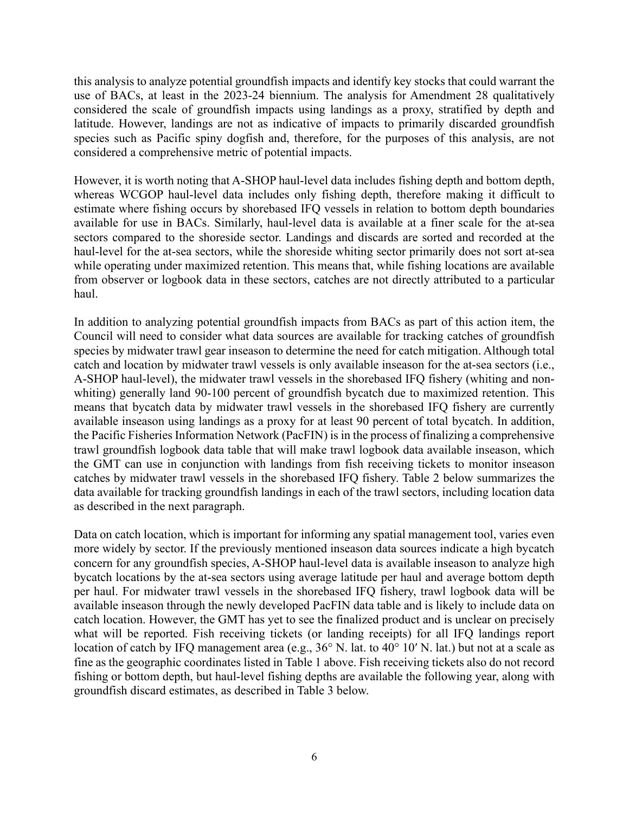this analysis to analyze potential groundfish impacts and identify key stocks that could warrant the use of BACs, at least in the 2023-24 biennium. The analysis for Amendment 28 qualitatively considered the scale of groundfish impacts using landings as a proxy, stratified by depth and latitude. However, landings are not as indicative of impacts to primarily discarded groundfish species such as Pacific spiny dogfish and, therefore, for the purposes of this analysis, are not considered a comprehensive metric of potential impacts.

However, it is worth noting that A-SHOP haul-level data includes fishing depth and bottom depth, whereas WCGOP haul-level data includes only fishing depth, therefore making it difficult to estimate where fishing occurs by shorebased IFQ vessels in relation to bottom depth boundaries available for use in BACs. Similarly, haul-level data is available at a finer scale for the at-sea sectors compared to the shoreside sector. Landings and discards are sorted and recorded at the haul-level for the at-sea sectors, while the shoreside whiting sector primarily does not sort at-sea while operating under maximized retention. This means that, while fishing locations are available from observer or logbook data in these sectors, catches are not directly attributed to a particular haul.

In addition to analyzing potential groundfish impacts from BACs as part of this action item, the Council will need to consider what data sources are available for tracking catches of groundfish species by midwater trawl gear inseason to determine the need for catch mitigation. Although total catch and location by midwater trawl vessels is only available inseason for the at-sea sectors (i.e., A-SHOP haul-level), the midwater trawl vessels in the shorebased IFQ fishery (whiting and nonwhiting) generally land 90-100 percent of groundfish bycatch due to maximized retention. This means that bycatch data by midwater trawl vessels in the shorebased IFQ fishery are currently available inseason using landings as a proxy for at least 90 percent of total bycatch. In addition, the Pacific Fisheries Information Network (PacFIN) is in the process of finalizing a comprehensive trawl groundfish logbook data table that will make trawl logbook data available inseason, which the GMT can use in conjunction with landings from fish receiving tickets to monitor inseason catches by midwater trawl vessels in the shorebased IFQ fishery. Table 2 below summarizes the data available for tracking groundfish landings in each of the trawl sectors, including location data as described in the next paragraph.

Data on catch location, which is important for informing any spatial management tool, varies even more widely by sector. If the previously mentioned inseason data sources indicate a high bycatch concern for any groundfish species, A-SHOP haul-level data is available inseason to analyze high bycatch locations by the at-sea sectors using average latitude per haul and average bottom depth per haul. For midwater trawl vessels in the shorebased IFQ fishery, trawl logbook data will be available inseason through the newly developed PacFIN data table and is likely to include data on catch location. However, the GMT has yet to see the finalized product and is unclear on precisely what will be reported. Fish receiving tickets (or landing receipts) for all IFQ landings report location of catch by IFQ management area (e.g., 36° N. lat. to 40° 10′ N. lat.) but not at a scale as fine as the geographic coordinates listed in Table 1 above. Fish receiving tickets also do not record fishing or bottom depth, but haul-level fishing depths are available the following year, along with groundfish discard estimates, as described in Table 3 below.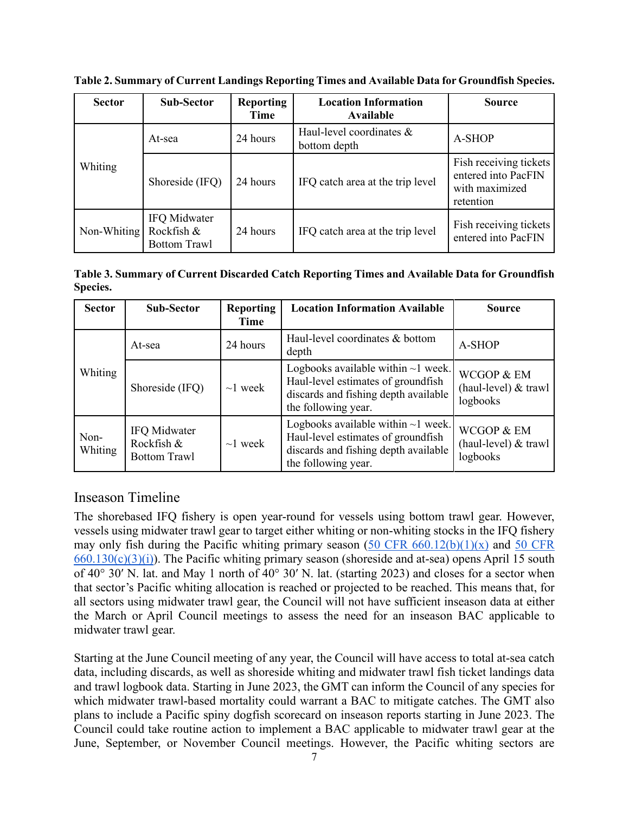| <b>Sector</b> | <b>Sub-Sector</b>                                 | <b>Reporting</b><br>Time | <b>Location Information</b><br>Available | <b>Source</b>                                                                |
|---------------|---------------------------------------------------|--------------------------|------------------------------------------|------------------------------------------------------------------------------|
|               | At-sea                                            | 24 hours                 | Haul-level coordinates &<br>bottom depth | A-SHOP                                                                       |
| Whiting       | Shoreside (IFQ)                                   | 24 hours                 | IFQ catch area at the trip level         | Fish receiving tickets<br>entered into PacFIN<br>with maximized<br>retention |
| Non-Whiting   | IFQ Midwater<br>Rockfish &<br><b>Bottom Trawl</b> | 24 hours                 | IFQ catch area at the trip level         | Fish receiving tickets<br>entered into PacFIN                                |

**Table 2. Summary of Current Landings Reporting Times and Available Data for Groundfish Species.**

**Table 3. Summary of Current Discarded Catch Reporting Times and Available Data for Groundfish Species.**

| <b>Sector</b>   | Sub-Sector                                        | <b>Reporting</b><br>Time | <b>Location Information Available</b>                                                                                                         | <b>Source</b>                                  |
|-----------------|---------------------------------------------------|--------------------------|-----------------------------------------------------------------------------------------------------------------------------------------------|------------------------------------------------|
|                 | At-sea                                            | 24 hours                 | Haul-level coordinates & bottom<br>depth                                                                                                      | A-SHOP                                         |
| Whiting         | Shoreside (IFQ)                                   | $\sim$ 1 week            | Logbooks available within $\sim$ 1 week.<br>Haul-level estimates of groundfish<br>discards and fishing depth available<br>the following year. | WCGOP & EM<br>(haul-level) & trawl<br>logbooks |
| Non-<br>Whiting | IFQ Midwater<br>Rockfish &<br><b>Bottom Trawl</b> | $\sim$ 1 week            | Logbooks available within $\sim$ 1 week.<br>Haul-level estimates of groundfish<br>discards and fishing depth available<br>the following year. | WCGOP & EM<br>(haul-level) & trawl<br>logbooks |

## <span id="page-6-0"></span>Inseason Timeline

The shorebased IFQ fishery is open year-round for vessels using bottom trawl gear. However, vessels using midwater trawl gear to target either whiting or non-whiting stocks in the IFQ fishery may only fish during the Pacific whiting primary season  $(50 \text{ CFR } 660.12(b)(1)(x))$  and  $50 \text{ CFR}$  $660.130(c)(3)(i)$ . The Pacific whiting primary season (shoreside and at-sea) opens April 15 south of 40° 30′ N. lat. and May 1 north of 40° 30′ N. lat. (starting 2023) and closes for a sector when that sector's Pacific whiting allocation is reached or projected to be reached. This means that, for all sectors using midwater trawl gear, the Council will not have sufficient inseason data at either the March or April Council meetings to assess the need for an inseason BAC applicable to midwater trawl gear.

Starting at the June Council meeting of any year, the Council will have access to total at-sea catch data, including discards, as well as shoreside whiting and midwater trawl fish ticket landings data and trawl logbook data. Starting in June 2023, the GMT can inform the Council of any species for which midwater trawl-based mortality could warrant a BAC to mitigate catches. The GMT also plans to include a Pacific spiny dogfish scorecard on inseason reports starting in June 2023. The Council could take routine action to implement a BAC applicable to midwater trawl gear at the June, September, or November Council meetings. However, the Pacific whiting sectors are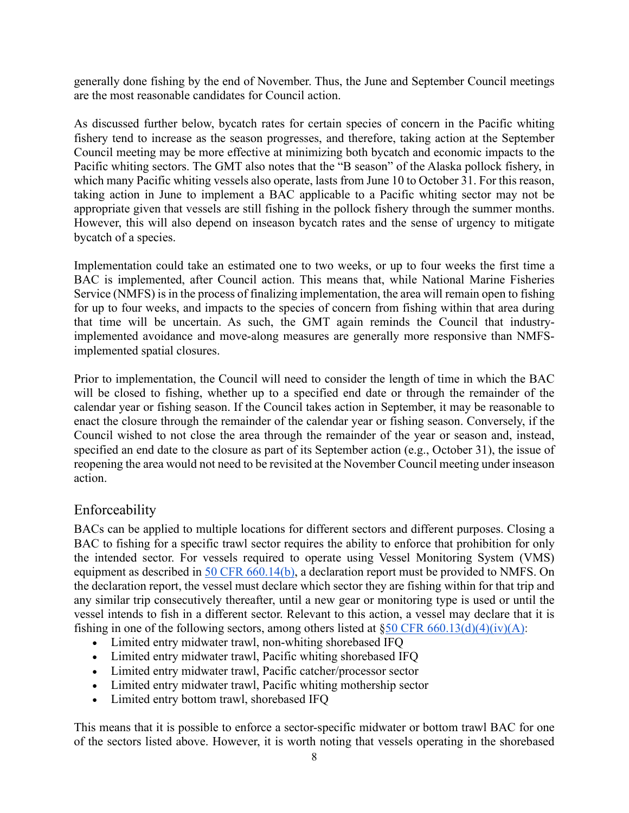generally done fishing by the end of November. Thus, the June and September Council meetings are the most reasonable candidates for Council action.

As discussed further below, bycatch rates for certain species of concern in the Pacific whiting fishery tend to increase as the season progresses, and therefore, taking action at the September Council meeting may be more effective at minimizing both bycatch and economic impacts to the Pacific whiting sectors. The GMT also notes that the "B season" of the Alaska pollock fishery, in which many Pacific whiting vessels also operate, lasts from June 10 to October 31. For this reason, taking action in June to implement a BAC applicable to a Pacific whiting sector may not be appropriate given that vessels are still fishing in the pollock fishery through the summer months. However, this will also depend on inseason bycatch rates and the sense of urgency to mitigate bycatch of a species.

Implementation could take an estimated one to two weeks, or up to four weeks the first time a BAC is implemented, after Council action. This means that, while National Marine Fisheries Service (NMFS) is in the process of finalizing implementation, the area will remain open to fishing for up to four weeks, and impacts to the species of concern from fishing within that area during that time will be uncertain. As such, the GMT again reminds the Council that industryimplemented avoidance and move-along measures are generally more responsive than NMFSimplemented spatial closures.

Prior to implementation, the Council will need to consider the length of time in which the BAC will be closed to fishing, whether up to a specified end date or through the remainder of the calendar year or fishing season. If the Council takes action in September, it may be reasonable to enact the closure through the remainder of the calendar year or fishing season. Conversely, if the Council wished to not close the area through the remainder of the year or season and, instead, specified an end date to the closure as part of its September action (e.g., October 31), the issue of reopening the area would not need to be revisited at the November Council meeting under inseason action.

## <span id="page-7-0"></span>Enforceability

BACs can be applied to multiple locations for different sectors and different purposes. Closing a BAC to fishing for a specific trawl sector requires the ability to enforce that prohibition for only the intended sector. For vessels required to operate using Vessel Monitoring System (VMS) equipment as described in [50 CFR 660.14\(b\),](https://www.ecfr.gov/current/title-50/chapter-VI/part-660/subpart-C/section-660.13#p-660.13(d)(4)(iv)(A)) a declaration report must be provided to NMFS. On the declaration report, the vessel must declare which sector they are fishing within for that trip and any similar trip consecutively thereafter, until a new gear or monitoring type is used or until the vessel intends to fish in a different sector. Relevant to this action, a vessel may declare that it is fishing in one of the following sectors, among others listed at  $\delta$  50 CFR 660.13(d)(4)(iv)(A):

- Limited entry midwater trawl, non-whiting shorebased IFQ
- Limited entry midwater trawl, Pacific whiting shorebased IFQ
- Limited entry midwater trawl, Pacific catcher/processor sector
- Limited entry midwater trawl, Pacific whiting mothership sector
- Limited entry bottom trawl, shorebased IFQ

This means that it is possible to enforce a sector-specific midwater or bottom trawl BAC for one of the sectors listed above. However, it is worth noting that vessels operating in the shorebased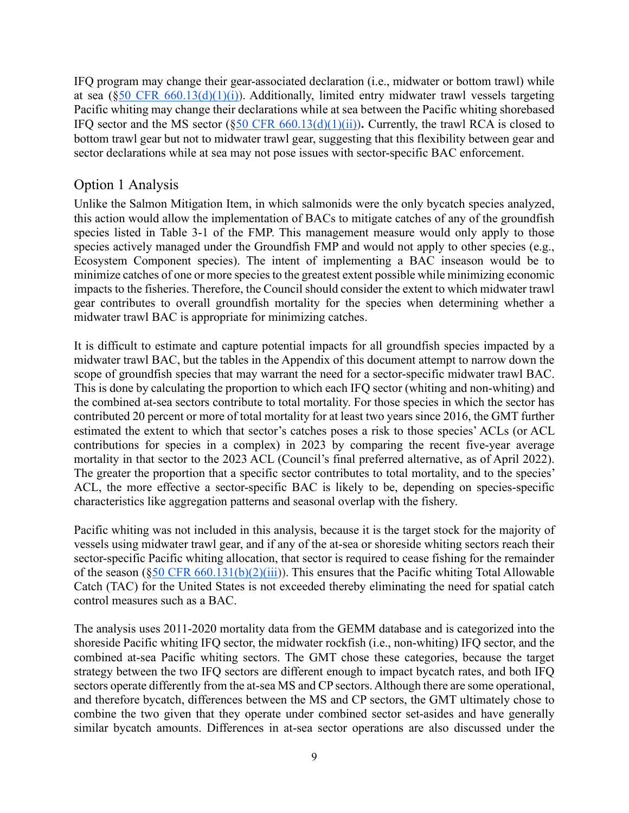IFQ program may change their gear-associated declaration (i.e., midwater or bottom trawl) while at sea ( $\S$ 50 CFR 660.13(d)(1)(i)). Additionally, limited entry midwater trawl vessels targeting Pacific whiting may change their declarations while at sea between the Pacific whiting shorebased IFQ sector and the MS sector  $(\S 50 \text{ CFR } 660.13(d)(1)(ii))$ . Currently, the trawl RCA is closed to bottom trawl gear but not to midwater trawl gear, suggesting that this flexibility between gear and sector declarations while at sea may not pose issues with sector-specific BAC enforcement.

## <span id="page-8-0"></span>Option 1 Analysis

Unlike the Salmon Mitigation Item, in which salmonids were the only bycatch species analyzed, this action would allow the implementation of BACs to mitigate catches of any of the groundfish species listed in Table 3-1 of the FMP. This management measure would only apply to those species actively managed under the Groundfish FMP and would not apply to other species (e.g., Ecosystem Component species). The intent of implementing a BAC inseason would be to minimize catches of one or more species to the greatest extent possible while minimizing economic impacts to the fisheries. Therefore, the Council should consider the extent to which midwater trawl gear contributes to overall groundfish mortality for the species when determining whether a midwater trawl BAC is appropriate for minimizing catches.

It is difficult to estimate and capture potential impacts for all groundfish species impacted by a midwater trawl BAC, but the tables in the Appendix of this document attempt to narrow down the scope of groundfish species that may warrant the need for a sector-specific midwater trawl BAC. This is done by calculating the proportion to which each IFQ sector (whiting and non-whiting) and the combined at-sea sectors contribute to total mortality. For those species in which the sector has contributed 20 percent or more of total mortality for at least two years since 2016, the GMT further estimated the extent to which that sector's catches poses a risk to those species' ACLs (or ACL contributions for species in a complex) in 2023 by comparing the recent five-year average mortality in that sector to the 2023 ACL (Council's final preferred alternative, as of April 2022). The greater the proportion that a specific sector contributes to total mortality, and to the species' ACL, the more effective a sector-specific BAC is likely to be, depending on species-specific characteristics like aggregation patterns and seasonal overlap with the fishery.

Pacific whiting was not included in this analysis, because it is the target stock for the majority of vessels using midwater trawl gear, and if any of the at-sea or shoreside whiting sectors reach their sector-specific Pacific whiting allocation, that sector is required to cease fishing for the remainder of the season  $(\S 50 \text{ CFR } 660.131(b)(2)(iii))$ . This ensures that the Pacific whiting Total Allowable Catch (TAC) for the United States is not exceeded thereby eliminating the need for spatial catch control measures such as a BAC.

The analysis uses 2011-2020 mortality data from the GEMM database and is categorized into the shoreside Pacific whiting IFQ sector, the midwater rockfish (i.e., non-whiting) IFQ sector, and the combined at-sea Pacific whiting sectors. The GMT chose these categories, because the target strategy between the two IFQ sectors are different enough to impact bycatch rates, and both IFQ sectors operate differently from the at-sea MS and CP sectors. Although there are some operational, and therefore bycatch, differences between the MS and CP sectors, the GMT ultimately chose to combine the two given that they operate under combined sector set-asides and have generally similar bycatch amounts. Differences in at-sea sector operations are also discussed under the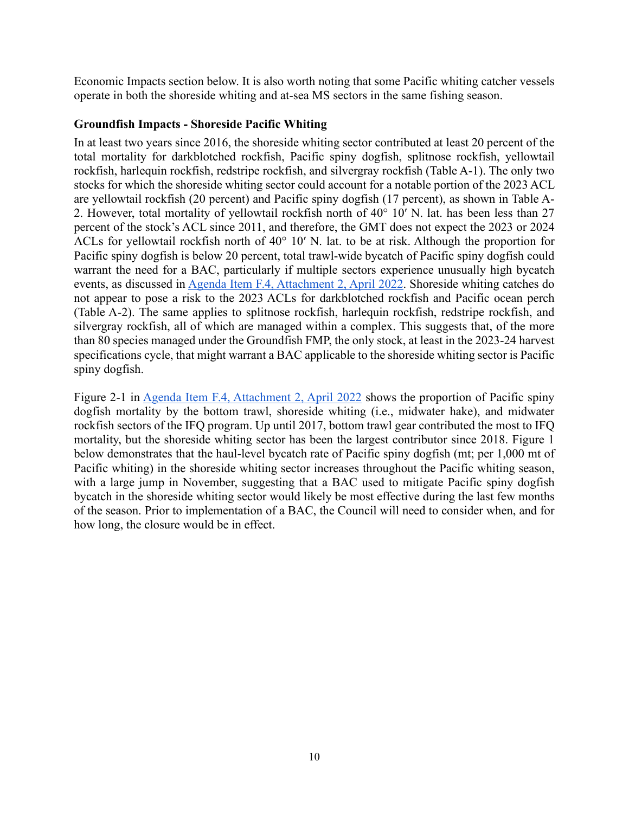Economic Impacts section below. It is also worth noting that some Pacific whiting catcher vessels operate in both the shoreside whiting and at-sea MS sectors in the same fishing season.

### **Groundfish Impacts - Shoreside Pacific Whiting**

In at least two years since 2016, the shoreside whiting sector contributed at least 20 percent of the total mortality for darkblotched rockfish, Pacific spiny dogfish, splitnose rockfish, yellowtail rockfish, harlequin rockfish, redstripe rockfish, and silvergray rockfish (Table A-1). The only two stocks for which the shoreside whiting sector could account for a notable portion of the 2023 ACL are yellowtail rockfish (20 percent) and Pacific spiny dogfish (17 percent), as shown in Table A-2. However, total mortality of yellowtail rockfish north of 40° 10′ N. lat. has been less than 27 percent of the stock's ACL since 2011, and therefore, the GMT does not expect the 2023 or 2024 ACLs for yellowtail rockfish north of 40° 10′ N. lat. to be at risk. Although the proportion for Pacific spiny dogfish is below 20 percent, total trawl-wide bycatch of Pacific spiny dogfish could warrant the need for a BAC, particularly if multiple sectors experience unusually high bycatch events, as discussed in [Agenda Item F.4, Attachment 2, April 2022.](https://www.pcouncil.org/documents/2022/03/f-4-attachment-2-2023-2024-management-measure-analytical-document-electronic-only.pdf/) Shoreside whiting catches do not appear to pose a risk to the 2023 ACLs for darkblotched rockfish and Pacific ocean perch (Table A-2). The same applies to splitnose rockfish, harlequin rockfish, redstripe rockfish, and silvergray rockfish, all of which are managed within a complex. This suggests that, of the more than 80 species managed under the Groundfish FMP, the only stock, at least in the 2023-24 harvest specifications cycle, that might warrant a BAC applicable to the shoreside whiting sector is Pacific spiny dogfish.

Figure 2-1 in [Agenda Item F.4, Attachment 2, April 2022](https://www.pcouncil.org/documents/2022/03/f-4-attachment-2-2023-2024-management-measure-analytical-document-electronic-only.pdf/) shows the proportion of Pacific spiny dogfish mortality by the bottom trawl, shoreside whiting (i.e., midwater hake), and midwater rockfish sectors of the IFQ program. Up until 2017, bottom trawl gear contributed the most to IFQ mortality, but the shoreside whiting sector has been the largest contributor since 2018. Figure 1 below demonstrates that the haul-level bycatch rate of Pacific spiny dogfish (mt; per 1,000 mt of Pacific whiting) in the shoreside whiting sector increases throughout the Pacific whiting season, with a large jump in November, suggesting that a BAC used to mitigate Pacific spiny dogfish bycatch in the shoreside whiting sector would likely be most effective during the last few months of the season. Prior to implementation of a BAC, the Council will need to consider when, and for how long, the closure would be in effect.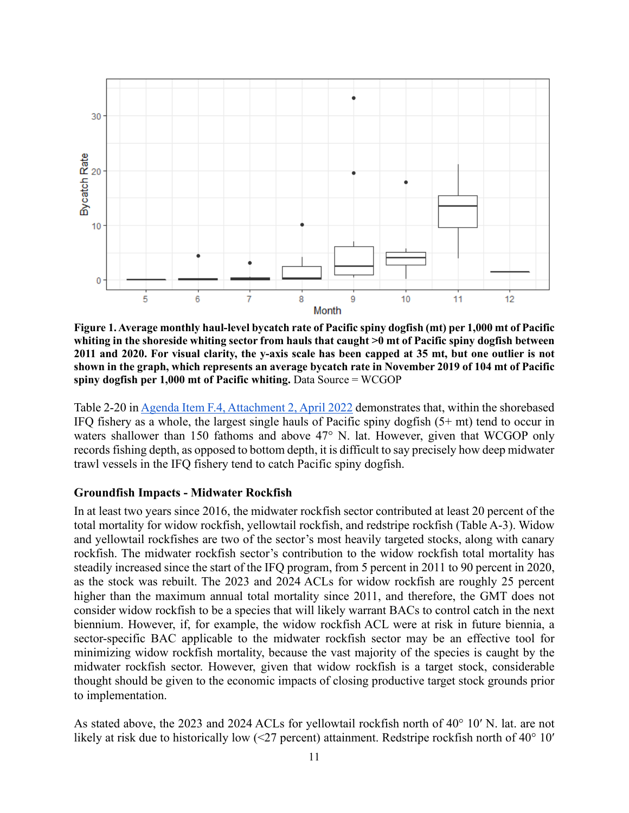

**Figure 1. Average monthly haul-level bycatch rate of Pacific spiny dogfish (mt) per 1,000 mt of Pacific whiting in the shoreside whiting sector from hauls that caught >0 mt of Pacific spiny dogfish between 2011 and 2020. For visual clarity, the y-axis scale has been capped at 35 mt, but one outlier is not shown in the graph, which represents an average bycatch rate in November 2019 of 104 mt of Pacific spiny dogfish per 1,000 mt of Pacific whiting.** Data Source = WCGOP

Table 2-20 i[n Agenda Item F.4, Attachment 2, April 2022](https://www.pcouncil.org/documents/2022/03/f-4-attachment-2-2023-2024-management-measure-analytical-document-electronic-only.pdf/) demonstrates that, within the shorebased IFQ fishery as a whole, the largest single hauls of Pacific spiny dogfish (5+ mt) tend to occur in waters shallower than 150 fathoms and above 47° N. lat. However, given that WCGOP only records fishing depth, as opposed to bottom depth, it is difficult to say precisely how deep midwater trawl vessels in the IFQ fishery tend to catch Pacific spiny dogfish.

#### **Groundfish Impacts - Midwater Rockfish**

In at least two years since 2016, the midwater rockfish sector contributed at least 20 percent of the total mortality for widow rockfish, yellowtail rockfish, and redstripe rockfish (Table A-3). Widow and yellowtail rockfishes are two of the sector's most heavily targeted stocks, along with canary rockfish. The midwater rockfish sector's contribution to the widow rockfish total mortality has steadily increased since the start of the IFQ program, from 5 percent in 2011 to 90 percent in 2020, as the stock was rebuilt. The 2023 and 2024 ACLs for widow rockfish are roughly 25 percent higher than the maximum annual total mortality since 2011, and therefore, the GMT does not consider widow rockfish to be a species that will likely warrant BACs to control catch in the next biennium. However, if, for example, the widow rockfish ACL were at risk in future biennia, a sector-specific BAC applicable to the midwater rockfish sector may be an effective tool for minimizing widow rockfish mortality, because the vast majority of the species is caught by the midwater rockfish sector. However, given that widow rockfish is a target stock, considerable thought should be given to the economic impacts of closing productive target stock grounds prior to implementation.

As stated above, the 2023 and 2024 ACLs for yellowtail rockfish north of 40° 10′ N. lat. are not likely at risk due to historically low (<27 percent) attainment. Redstripe rockfish north of 40° 10′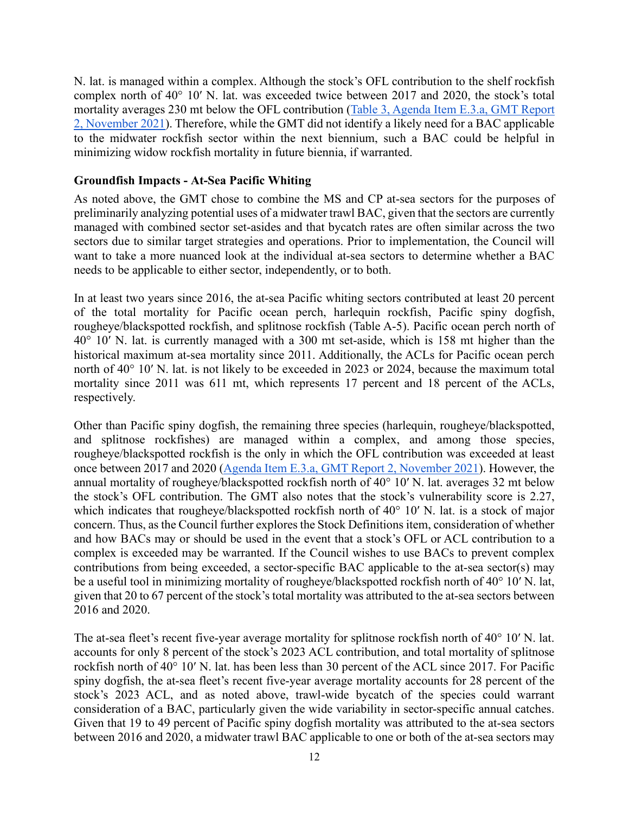N. lat. is managed within a complex. Although the stock's OFL contribution to the shelf rockfish complex north of 40° 10′ N. lat. was exceeded twice between 2017 and 2020, the stock's total mortality averages 230 mt below the OFL contribution [\(Table 3, Agenda Item E.3.a, GMT Report](https://www.pcouncil.org/documents/2021/11/e-3-a-gmt-report-2-groundfish-management-team-report-on-stock-complexes.pdf/)  [2, November 2021\)](https://www.pcouncil.org/documents/2021/11/e-3-a-gmt-report-2-groundfish-management-team-report-on-stock-complexes.pdf/). Therefore, while the GMT did not identify a likely need for a BAC applicable to the midwater rockfish sector within the next biennium, such a BAC could be helpful in minimizing widow rockfish mortality in future biennia, if warranted.

### **Groundfish Impacts - At-Sea Pacific Whiting**

As noted above, the GMT chose to combine the MS and CP at-sea sectors for the purposes of preliminarily analyzing potential uses of a midwater trawl BAC, given that the sectors are currently managed with combined sector set-asides and that bycatch rates are often similar across the two sectors due to similar target strategies and operations. Prior to implementation, the Council will want to take a more nuanced look at the individual at-sea sectors to determine whether a BAC needs to be applicable to either sector, independently, or to both.

In at least two years since 2016, the at-sea Pacific whiting sectors contributed at least 20 percent of the total mortality for Pacific ocean perch, harlequin rockfish, Pacific spiny dogfish, rougheye/blackspotted rockfish, and splitnose rockfish (Table A-5). Pacific ocean perch north of 40° 10′ N. lat. is currently managed with a 300 mt set-aside, which is 158 mt higher than the historical maximum at-sea mortality since 2011. Additionally, the ACLs for Pacific ocean perch north of 40° 10′ N. lat. is not likely to be exceeded in 2023 or 2024, because the maximum total mortality since 2011 was 611 mt, which represents 17 percent and 18 percent of the ACLs, respectively.

Other than Pacific spiny dogfish, the remaining three species (harlequin, rougheye/blackspotted, and splitnose rockfishes) are managed within a complex, and among those species, rougheye/blackspotted rockfish is the only in which the OFL contribution was exceeded at least once between 2017 and 2020 [\(Agenda Item E.3.a, GMT Report 2, November 2021\)](https://www.pcouncil.org/documents/2021/11/e-3-a-gmt-report-2-groundfish-management-team-report-on-stock-complexes.pdf/). However, the annual mortality of rougheye/blackspotted rockfish north of 40° 10′ N. lat. averages 32 mt below the stock's OFL contribution. The GMT also notes that the stock's vulnerability score is 2.27, which indicates that rougheye/blackspotted rockfish north of 40° 10′ N. lat. is a stock of major concern. Thus, as the Council further explores the Stock Definitions item, consideration of whether and how BACs may or should be used in the event that a stock's OFL or ACL contribution to a complex is exceeded may be warranted. If the Council wishes to use BACs to prevent complex contributions from being exceeded, a sector-specific BAC applicable to the at-sea sector(s) may be a useful tool in minimizing mortality of rougheye/blackspotted rockfish north of 40° 10′ N. lat, given that 20 to 67 percent of the stock's total mortality was attributed to the at-sea sectors between 2016 and 2020.

The at-sea fleet's recent five-year average mortality for splitnose rockfish north of 40° 10′ N. lat. accounts for only 8 percent of the stock's 2023 ACL contribution, and total mortality of splitnose rockfish north of 40° 10′ N. lat. has been less than 30 percent of the ACL since 2017. For Pacific spiny dogfish, the at-sea fleet's recent five-year average mortality accounts for 28 percent of the stock's 2023 ACL, and as noted above, trawl-wide bycatch of the species could warrant consideration of a BAC, particularly given the wide variability in sector-specific annual catches. Given that 19 to 49 percent of Pacific spiny dogfish mortality was attributed to the at-sea sectors between 2016 and 2020, a midwater trawl BAC applicable to one or both of the at-sea sectors may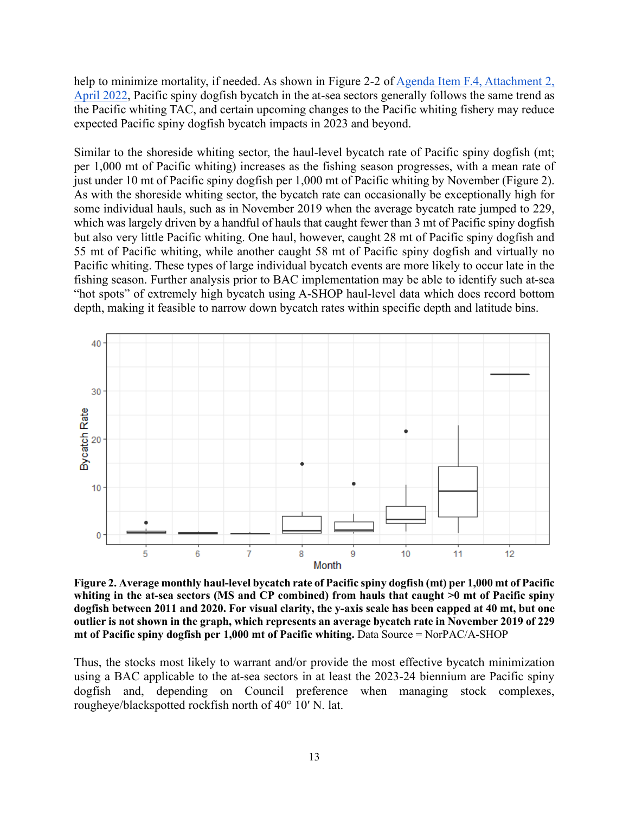help to minimize mortality, if needed. As shown in Figure 2-2 of Agenda Item F.4, Attachment 2, [April 2022,](https://www.pcouncil.org/documents/2022/03/f-4-attachment-2-2023-2024-management-measure-analytical-document-electronic-only.pdf/) Pacific spiny dogfish bycatch in the at-sea sectors generally follows the same trend as the Pacific whiting TAC, and certain upcoming changes to the Pacific whiting fishery may reduce expected Pacific spiny dogfish bycatch impacts in 2023 and beyond.

Similar to the shoreside whiting sector, the haul-level bycatch rate of Pacific spiny dogfish (mt; per 1,000 mt of Pacific whiting) increases as the fishing season progresses, with a mean rate of just under 10 mt of Pacific spiny dogfish per 1,000 mt of Pacific whiting by November (Figure 2). As with the shoreside whiting sector, the bycatch rate can occasionally be exceptionally high for some individual hauls, such as in November 2019 when the average bycatch rate jumped to 229, which was largely driven by a handful of hauls that caught fewer than 3 mt of Pacific spiny dogfish but also very little Pacific whiting. One haul, however, caught 28 mt of Pacific spiny dogfish and 55 mt of Pacific whiting, while another caught 58 mt of Pacific spiny dogfish and virtually no Pacific whiting. These types of large individual bycatch events are more likely to occur late in the fishing season. Further analysis prior to BAC implementation may be able to identify such at-sea "hot spots" of extremely high bycatch using A-SHOP haul-level data which does record bottom depth, making it feasible to narrow down bycatch rates within specific depth and latitude bins.



**Figure 2. Average monthly haul-level bycatch rate of Pacific spiny dogfish (mt) per 1,000 mt of Pacific whiting in the at-sea sectors (MS and CP combined) from hauls that caught >0 mt of Pacific spiny dogfish between 2011 and 2020. For visual clarity, the y-axis scale has been capped at 40 mt, but one outlier is not shown in the graph, which represents an average bycatch rate in November 2019 of 229 mt of Pacific spiny dogfish per 1,000 mt of Pacific whiting.** Data Source = NorPAC/A-SHOP

Thus, the stocks most likely to warrant and/or provide the most effective bycatch minimization using a BAC applicable to the at-sea sectors in at least the 2023-24 biennium are Pacific spiny dogfish and, depending on Council preference when managing stock complexes, rougheye/blackspotted rockfish north of 40° 10′ N. lat.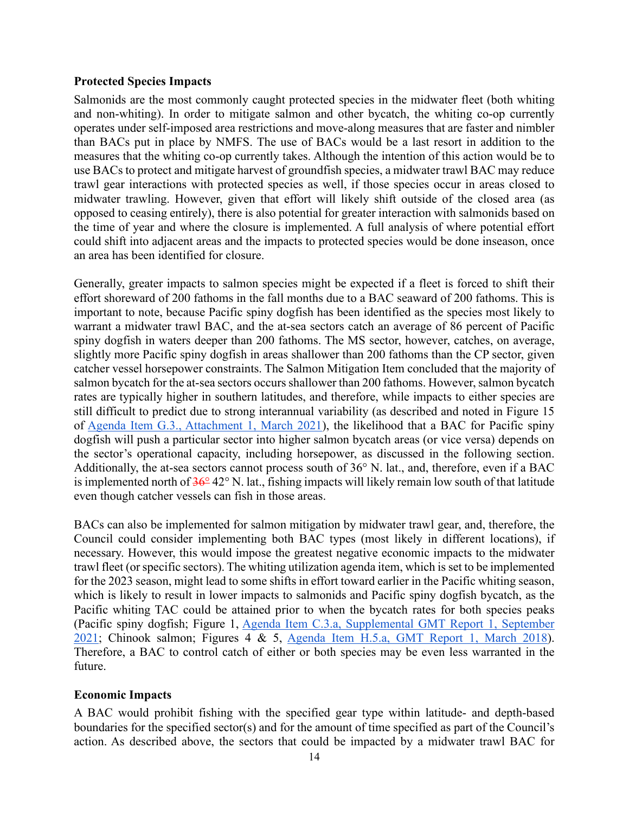#### **Protected Species Impacts**

Salmonids are the most commonly caught protected species in the midwater fleet (both whiting and non-whiting). In order to mitigate salmon and other bycatch, the whiting co-op currently operates under self-imposed area restrictions and move-along measures that are faster and nimbler than BACs put in place by NMFS. The use of BACs would be a last resort in addition to the measures that the whiting co-op currently takes. Although the intention of this action would be to use BACs to protect and mitigate harvest of groundfish species, a midwater trawl BAC may reduce trawl gear interactions with protected species as well, if those species occur in areas closed to midwater trawling. However, given that effort will likely shift outside of the closed area (as opposed to ceasing entirely), there is also potential for greater interaction with salmonids based on the time of year and where the closure is implemented. A full analysis of where potential effort could shift into adjacent areas and the impacts to protected species would be done inseason, once an area has been identified for closure.

Generally, greater impacts to salmon species might be expected if a fleet is forced to shift their effort shoreward of 200 fathoms in the fall months due to a BAC seaward of 200 fathoms. This is important to note, because Pacific spiny dogfish has been identified as the species most likely to warrant a midwater trawl BAC, and the at-sea sectors catch an average of 86 percent of Pacific spiny dogfish in waters deeper than 200 fathoms. The MS sector, however, catches, on average, slightly more Pacific spiny dogfish in areas shallower than 200 fathoms than the CP sector, given catcher vessel horsepower constraints. The Salmon Mitigation Item concluded that the majority of salmon bycatch for the at-sea sectors occurs shallower than 200 fathoms. However, salmon bycatch rates are typically higher in southern latitudes, and therefore, while impacts to either species are still difficult to predict due to strong interannual variability (as described and noted in Figure 15 of [Agenda Item G.3., Attachment 1, March 2021\)](https://www.pcouncil.org/documents/2021/02/g-3-attachment-1-scoping-whiting-fishery-utilization-issues-including-draft-purpose-and-need-and-a-range-of-alternatives.pdf/), the likelihood that a BAC for Pacific spiny dogfish will push a particular sector into higher salmon bycatch areas (or vice versa) depends on the sector's operational capacity, including horsepower, as discussed in the following section. Additionally, the at-sea sectors cannot process south of 36° N. lat., and, therefore, even if a BAC is implemented north of 36° 42° N. lat., fishing impacts will likely remain low south of that latitude even though catcher vessels can fish in those areas.

BACs can also be implemented for salmon mitigation by midwater trawl gear, and, therefore, the Council could consider implementing both BAC types (most likely in different locations), if necessary. However, this would impose the greatest negative economic impacts to the midwater trawl fleet (or specific sectors). The whiting utilization agenda item, which is set to be implemented for the 2023 season, might lead to some shifts in effort toward earlier in the Pacific whiting season, which is likely to result in lower impacts to salmonids and Pacific spiny dogfish bycatch, as the Pacific whiting TAC could be attained prior to when the bycatch rates for both species peaks (Pacific spiny dogfish; Figure 1, [Agenda Item C.3.a, Supplemental GMT Report 1, September](https://www.pcouncil.org/documents/2021/09/c-3-a-supplemental-gmt-report-1-2.pdf/)  [2021;](https://www.pcouncil.org/documents/2021/09/c-3-a-supplemental-gmt-report-1-2.pdf/) Chinook salmon; Figures 4 & 5, [Agenda Item H.5.a, GMT Report 1, March 2018\)](https://www.pcouncil.org/documents/2018/03/agenda-item-h-5-a-groundfish-management-team-report-1-2.pdf/). Therefore, a BAC to control catch of either or both species may be even less warranted in the future.

### **Economic Impacts**

A BAC would prohibit fishing with the specified gear type within latitude- and depth-based boundaries for the specified sector(s) and for the amount of time specified as part of the Council's action. As described above, the sectors that could be impacted by a midwater trawl BAC for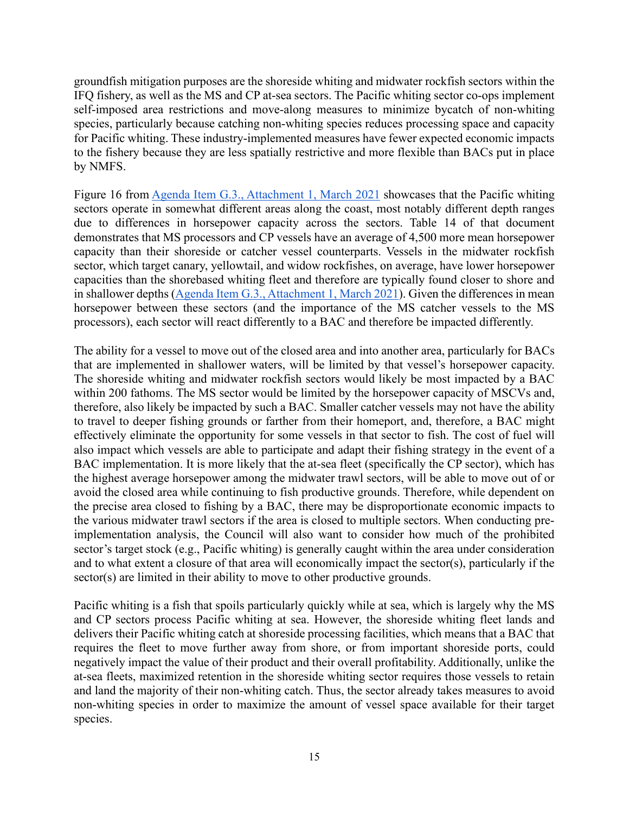groundfish mitigation purposes are the shoreside whiting and midwater rockfish sectors within the IFQ fishery, as well as the MS and CP at-sea sectors. The Pacific whiting sector co-ops implement self-imposed area restrictions and move-along measures to minimize bycatch of non-whiting species, particularly because catching non-whiting species reduces processing space and capacity for Pacific whiting. These industry-implemented measures have fewer expected economic impacts to the fishery because they are less spatially restrictive and more flexible than BACs put in place by NMFS.

Figure 16 from [Agenda Item G.3., Attachment 1, March 2021](https://www.pcouncil.org/documents/2021/02/g-3-attachment-1-scoping-whiting-fishery-utilization-issues-including-draft-purpose-and-need-and-a-range-of-alternatives.pdf/) showcases that the Pacific whiting sectors operate in somewhat different areas along the coast, most notably different depth ranges due to differences in horsepower capacity across the sectors. Table 14 of that document demonstrates that MS processors and CP vessels have an average of 4,500 more mean horsepower capacity than their shoreside or catcher vessel counterparts. Vessels in the midwater rockfish sector, which target canary, yellowtail, and widow rockfishes, on average, have lower horsepower capacities than the shorebased whiting fleet and therefore are typically found closer to shore and in shallower depths [\(Agenda Item G.3., Attachment 1, March 2021\)](https://www.pcouncil.org/documents/2021/02/g-3-attachment-1-scoping-whiting-fishery-utilization-issues-including-draft-purpose-and-need-and-a-range-of-alternatives.pdf/). Given the differences in mean horsepower between these sectors (and the importance of the MS catcher vessels to the MS processors), each sector will react differently to a BAC and therefore be impacted differently.

The ability for a vessel to move out of the closed area and into another area, particularly for BACs that are implemented in shallower waters, will be limited by that vessel's horsepower capacity. The shoreside whiting and midwater rockfish sectors would likely be most impacted by a BAC within 200 fathoms. The MS sector would be limited by the horsepower capacity of MSCVs and, therefore, also likely be impacted by such a BAC. Smaller catcher vessels may not have the ability to travel to deeper fishing grounds or farther from their homeport, and, therefore, a BAC might effectively eliminate the opportunity for some vessels in that sector to fish. The cost of fuel will also impact which vessels are able to participate and adapt their fishing strategy in the event of a BAC implementation. It is more likely that the at-sea fleet (specifically the CP sector), which has the highest average horsepower among the midwater trawl sectors, will be able to move out of or avoid the closed area while continuing to fish productive grounds. Therefore, while dependent on the precise area closed to fishing by a BAC, there may be disproportionate economic impacts to the various midwater trawl sectors if the area is closed to multiple sectors. When conducting preimplementation analysis, the Council will also want to consider how much of the prohibited sector's target stock (e.g., Pacific whiting) is generally caught within the area under consideration and to what extent a closure of that area will economically impact the sector(s), particularly if the sector(s) are limited in their ability to move to other productive grounds.

Pacific whiting is a fish that spoils particularly quickly while at sea, which is largely why the MS and CP sectors process Pacific whiting at sea. However, the shoreside whiting fleet lands and delivers their Pacific whiting catch at shoreside processing facilities, which means that a BAC that requires the fleet to move further away from shore, or from important shoreside ports, could negatively impact the value of their product and their overall profitability. Additionally, unlike the at-sea fleets, maximized retention in the shoreside whiting sector requires those vessels to retain and land the majority of their non-whiting catch. Thus, the sector already takes measures to avoid non-whiting species in order to maximize the amount of vessel space available for their target species.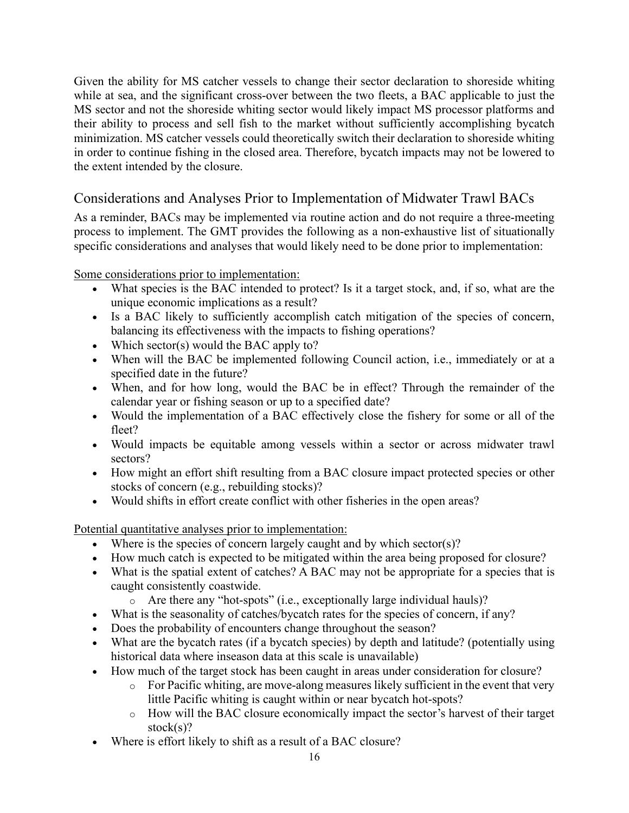Given the ability for MS catcher vessels to change their sector declaration to shoreside whiting while at sea, and the significant cross-over between the two fleets, a BAC applicable to just the MS sector and not the shoreside whiting sector would likely impact MS processor platforms and their ability to process and sell fish to the market without sufficiently accomplishing bycatch minimization. MS catcher vessels could theoretically switch their declaration to shoreside whiting in order to continue fishing in the closed area. Therefore, bycatch impacts may not be lowered to the extent intended by the closure.

## <span id="page-15-0"></span>Considerations and Analyses Prior to Implementation of Midwater Trawl BACs

As a reminder, BACs may be implemented via routine action and do not require a three-meeting process to implement. The GMT provides the following as a non-exhaustive list of situationally specific considerations and analyses that would likely need to be done prior to implementation:

Some considerations prior to implementation:

- What species is the BAC intended to protect? Is it a target stock, and, if so, what are the unique economic implications as a result?
- Is a BAC likely to sufficiently accomplish catch mitigation of the species of concern, balancing its effectiveness with the impacts to fishing operations?
- Which sector(s) would the BAC apply to?
- When will the BAC be implemented following Council action, i.e., immediately or at a specified date in the future?
- When, and for how long, would the BAC be in effect? Through the remainder of the calendar year or fishing season or up to a specified date?
- Would the implementation of a BAC effectively close the fishery for some or all of the fleet?
- Would impacts be equitable among vessels within a sector or across midwater trawl sectors?
- How might an effort shift resulting from a BAC closure impact protected species or other stocks of concern (e.g., rebuilding stocks)?
- Would shifts in effort create conflict with other fisheries in the open areas?

Potential quantitative analyses prior to implementation:

- Where is the species of concern largely caught and by which sector(s)?
- How much catch is expected to be mitigated within the area being proposed for closure?
- What is the spatial extent of catches? A BAC may not be appropriate for a species that is caught consistently coastwide.
	- o Are there any "hot-spots" (i.e., exceptionally large individual hauls)?
- What is the seasonality of catches/bycatch rates for the species of concern, if any?
- Does the probability of encounters change throughout the season?
- What are the bycatch rates (if a bycatch species) by depth and latitude? (potentially using historical data where inseason data at this scale is unavailable)
- How much of the target stock has been caught in areas under consideration for closure?
	- o For Pacific whiting, are move-along measures likely sufficient in the event that very little Pacific whiting is caught within or near bycatch hot-spots?
	- o How will the BAC closure economically impact the sector's harvest of their target stock(s)?
- Where is effort likely to shift as a result of a BAC closure?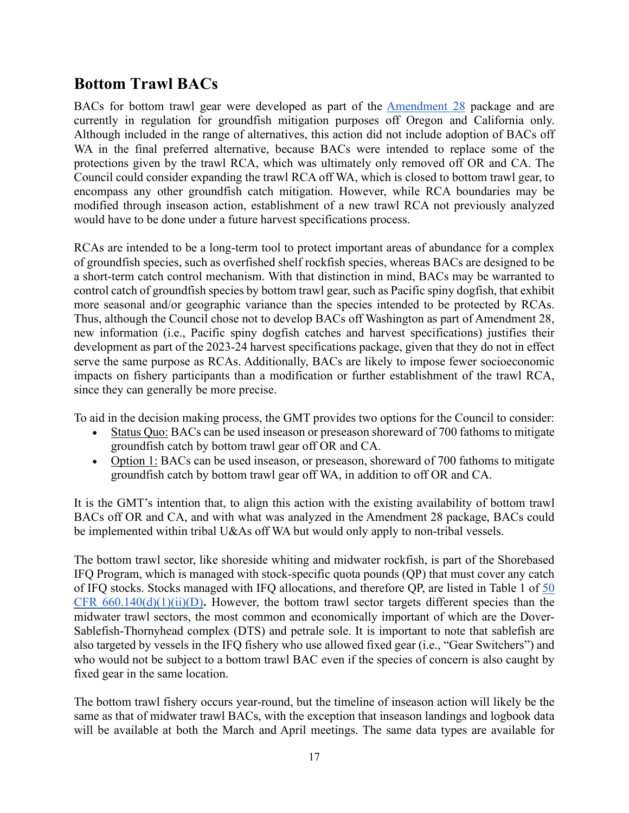# <span id="page-16-0"></span>**Bottom Trawl BACs**

BACs for bottom trawl gear were developed as part of the [Amendment 28](https://media.fisheries.noaa.gov/dam-migration/feis-groundfish-am28-7-19.pdf) package and are currently in regulation for groundfish mitigation purposes off Oregon and California only. Although included in the range of alternatives, this action did not include adoption of BACs off WA in the final preferred alternative, because BACs were intended to replace some of the protections given by the trawl RCA, which was ultimately only removed off OR and CA. The Council could consider expanding the trawl RCA off WA, which is closed to bottom trawl gear, to encompass any other groundfish catch mitigation. However, while RCA boundaries may be modified through inseason action, establishment of a new trawl RCA not previously analyzed would have to be done under a future harvest specifications process.

RCAs are intended to be a long-term tool to protect important areas of abundance for a complex of groundfish species, such as overfished shelf rockfish species, whereas BACs are designed to be a short-term catch control mechanism. With that distinction in mind, BACs may be warranted to control catch of groundfish species by bottom trawl gear, such as Pacific spiny dogfish, that exhibit more seasonal and/or geographic variance than the species intended to be protected by RCAs. Thus, although the Council chose not to develop BACs off Washington as part of Amendment 28, new information (i.e., Pacific spiny dogfish catches and harvest specifications) justifies their development as part of the 2023-24 harvest specifications package, given that they do not in effect serve the same purpose as RCAs. Additionally, BACs are likely to impose fewer socioeconomic impacts on fishery participants than a modification or further establishment of the trawl RCA, since they can generally be more precise.

To aid in the decision making process, the GMT provides two options for the Council to consider:

- Status Quo: BACs can be used inseason or preseason shoreward of 700 fathoms to mitigate groundfish catch by bottom trawl gear off OR and CA.
- Option 1: BACs can be used inseason, or preseason, shoreward of 700 fathoms to mitigate groundfish catch by bottom trawl gear off WA, in addition to off OR and CA.

It is the GMT's intention that, to align this action with the existing availability of bottom trawl BACs off OR and CA, and with what was analyzed in the Amendment 28 package, BACs could be implemented within tribal U&As off WA but would only apply to non-tribal vessels.

The bottom trawl sector, like shoreside whiting and midwater rockfish, is part of the Shorebased IFQ Program, which is managed with stock-specific quota pounds (QP) that must cover any catch of IFQ stocks. Stocks managed with IFQ allocations, and therefore QP, are listed in Table 1 of 50 CFR  $660.140(d)(1)(ii)(D)$ . However, the bottom trawl sector targets different species than the midwater trawl sectors, the most common and economically important of which are the Dover-Sablefish-Thornyhead complex (DTS) and petrale sole. It is important to note that sablefish are also targeted by vessels in the IFQ fishery who use allowed fixed gear (i.e., "Gear Switchers") and who would not be subject to a bottom trawl BAC even if the species of concern is also caught by fixed gear in the same location.

The bottom trawl fishery occurs year-round, but the timeline of inseason action will likely be the same as that of midwater trawl BACs, with the exception that inseason landings and logbook data will be available at both the March and April meetings. The same data types are available for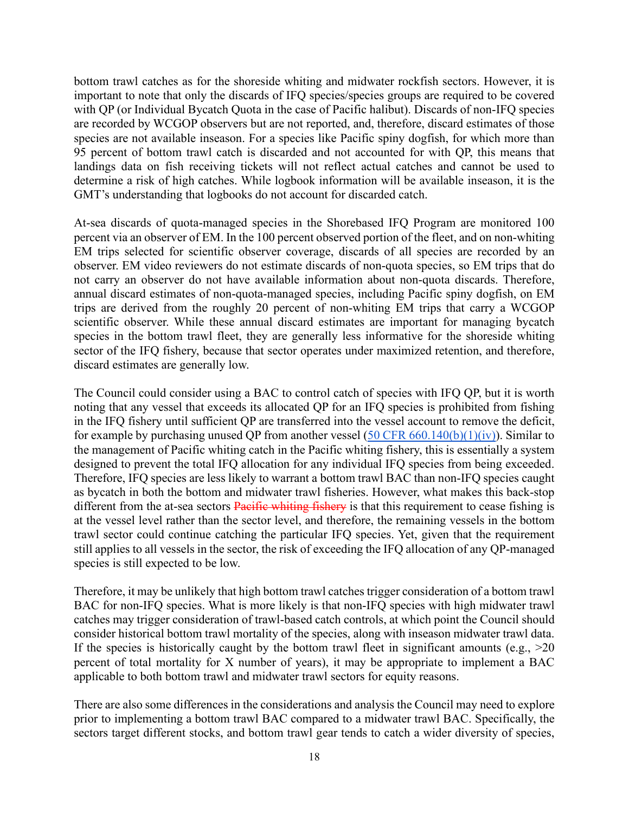bottom trawl catches as for the shoreside whiting and midwater rockfish sectors. However, it is important to note that only the discards of IFQ species/species groups are required to be covered with QP (or Individual Bycatch Quota in the case of Pacific halibut). Discards of non-IFQ species are recorded by WCGOP observers but are not reported, and, therefore, discard estimates of those species are not available inseason. For a species like Pacific spiny dogfish, for which more than 95 percent of bottom trawl catch is discarded and not accounted for with QP, this means that landings data on fish receiving tickets will not reflect actual catches and cannot be used to determine a risk of high catches. While logbook information will be available inseason, it is the GMT's understanding that logbooks do not account for discarded catch.

At-sea discards of quota-managed species in the Shorebased IFQ Program are monitored 100 percent via an observer of EM. In the 100 percent observed portion of the fleet, and on non-whiting EM trips selected for scientific observer coverage, discards of all species are recorded by an observer. EM video reviewers do not estimate discards of non-quota species, so EM trips that do not carry an observer do not have available information about non-quota discards. Therefore, annual discard estimates of non-quota-managed species, including Pacific spiny dogfish, on EM trips are derived from the roughly 20 percent of non-whiting EM trips that carry a WCGOP scientific observer. While these annual discard estimates are important for managing bycatch species in the bottom trawl fleet, they are generally less informative for the shoreside whiting sector of the IFQ fishery, because that sector operates under maximized retention, and therefore, discard estimates are generally low.

The Council could consider using a BAC to control catch of species with IFQ QP, but it is worth noting that any vessel that exceeds its allocated QP for an IFQ species is prohibited from fishing in the IFQ fishery until sufficient QP are transferred into the vessel account to remove the deficit, for example by purchasing unused QP from another vessel  $(50 \text{ CFR } 660.140(b)(1)(iv))$ . Similar to the management of Pacific whiting catch in the Pacific whiting fishery, this is essentially a system designed to prevent the total IFQ allocation for any individual IFQ species from being exceeded. Therefore, IFQ species are less likely to warrant a bottom trawl BAC than non-IFQ species caught as bycatch in both the bottom and midwater trawl fisheries. However, what makes this back-stop different from the at-sea sectors **Pacific whiting fishery** is that this requirement to cease fishing is at the vessel level rather than the sector level, and therefore, the remaining vessels in the bottom trawl sector could continue catching the particular IFQ species. Yet, given that the requirement still applies to all vessels in the sector, the risk of exceeding the IFQ allocation of any QP-managed species is still expected to be low.

Therefore, it may be unlikely that high bottom trawl catches trigger consideration of a bottom trawl BAC for non-IFQ species. What is more likely is that non-IFQ species with high midwater trawl catches may trigger consideration of trawl-based catch controls, at which point the Council should consider historical bottom trawl mortality of the species, along with inseason midwater trawl data. If the species is historically caught by the bottom trawl fleet in significant amounts (e.g.,  $>20$ ) percent of total mortality for X number of years), it may be appropriate to implement a BAC applicable to both bottom trawl and midwater trawl sectors for equity reasons.

There are also some differences in the considerations and analysis the Council may need to explore prior to implementing a bottom trawl BAC compared to a midwater trawl BAC. Specifically, the sectors target different stocks, and bottom trawl gear tends to catch a wider diversity of species,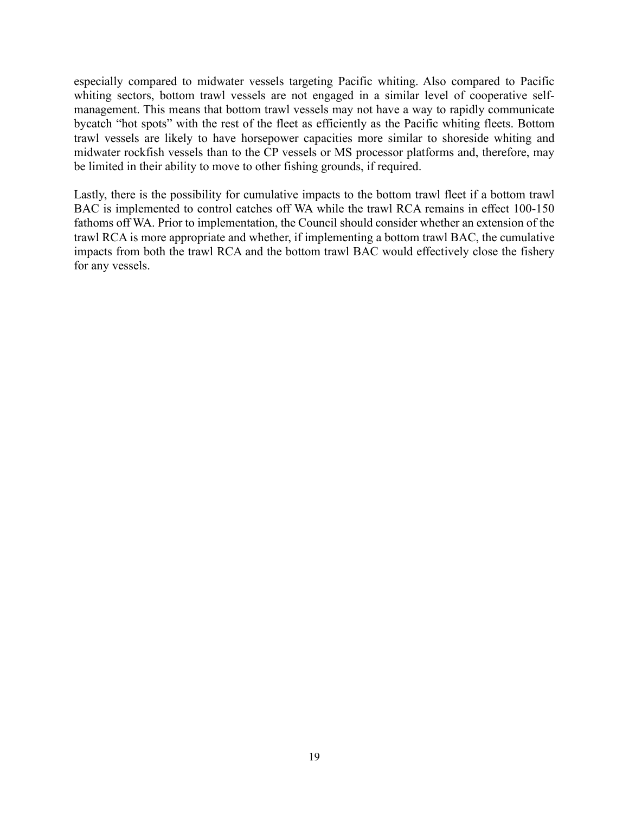especially compared to midwater vessels targeting Pacific whiting. Also compared to Pacific whiting sectors, bottom trawl vessels are not engaged in a similar level of cooperative selfmanagement. This means that bottom trawl vessels may not have a way to rapidly communicate bycatch "hot spots" with the rest of the fleet as efficiently as the Pacific whiting fleets. Bottom trawl vessels are likely to have horsepower capacities more similar to shoreside whiting and midwater rockfish vessels than to the CP vessels or MS processor platforms and, therefore, may be limited in their ability to move to other fishing grounds, if required.

Lastly, there is the possibility for cumulative impacts to the bottom trawl fleet if a bottom trawl BAC is implemented to control catches off WA while the trawl RCA remains in effect 100-150 fathoms off WA. Prior to implementation, the Council should consider whether an extension of the trawl RCA is more appropriate and whether, if implementing a bottom trawl BAC, the cumulative impacts from both the trawl RCA and the bottom trawl BAC would effectively close the fishery for any vessels.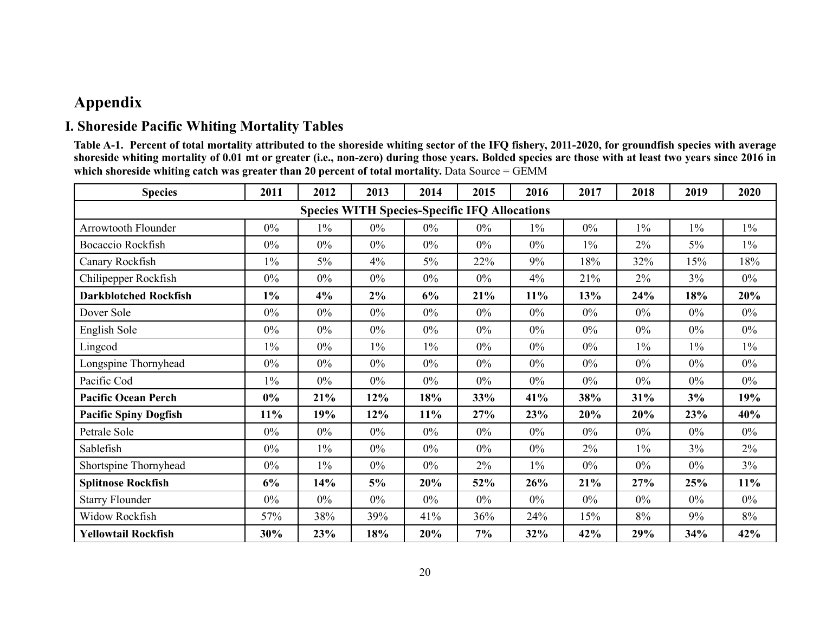# **Appendix**

## **I. Shoreside Pacific Whiting Mortality Tables**

**Table A-1. Percent of total mortality attributed to the shoreside whiting sector of the IFQ fishery, 2011-2020, for groundfish species with average shoreside whiting mortality of 0.01 mt or greater (i.e., non-zero) during those years. Bolded species are those with at least two years since 2016 in**  which shoreside whiting catch was greater than 20 percent of total mortality. Data Source = GEMM

<span id="page-19-1"></span><span id="page-19-0"></span>

| <b>Species</b>               | 2011  | 2012  | 2013                                                 | 2014  | 2015  | 2016   | 2017  | 2018  | 2019  | 2020  |
|------------------------------|-------|-------|------------------------------------------------------|-------|-------|--------|-------|-------|-------|-------|
|                              |       |       | <b>Species WITH Species-Specific IFQ Allocations</b> |       |       |        |       |       |       |       |
| Arrowtooth Flounder          | $0\%$ | $1\%$ | $0\%$                                                | $0\%$ | $0\%$ | $1\%$  | $0\%$ | $1\%$ | $1\%$ | $1\%$ |
| Bocaccio Rockfish            | $0\%$ | $0\%$ | $0\%$                                                | $0\%$ | $0\%$ | $0\%$  | $1\%$ | $2\%$ | 5%    | $1\%$ |
| Canary Rockfish              | $1\%$ | $5\%$ | 4%                                                   | $5\%$ | 22%   | 9%     | 18%   | 32%   | 15%   | 18%   |
| Chilipepper Rockfish         | $0\%$ | $0\%$ | $0\%$                                                | $0\%$ | $0\%$ | 4%     | 21%   | $2\%$ | 3%    | $0\%$ |
| <b>Darkblotched Rockfish</b> | $1\%$ | 4%    | 2%                                                   | 6%    | 21%   | $11\%$ | 13%   | 24%   | 18%   | 20%   |
| Dover Sole                   | $0\%$ | $0\%$ | $0\%$                                                | $0\%$ | $0\%$ | $0\%$  | $0\%$ | $0\%$ | $0\%$ | $0\%$ |
| English Sole                 | 0%    | $0\%$ | $0\%$                                                | $0\%$ | $0\%$ | $0\%$  | 0%    | 0%    | $0\%$ | $0\%$ |
| Lingcod                      | $1\%$ | $0\%$ | $1\%$                                                | $1\%$ | $0\%$ | $0\%$  | $0\%$ | $1\%$ | $1\%$ | $1\%$ |
| Longspine Thornyhead         | 0%    | $0\%$ | $0\%$                                                | $0\%$ | $0\%$ | $0\%$  | 0%    | $0\%$ | $0\%$ | $0\%$ |
| Pacific Cod                  | $1\%$ | $0\%$ | $0\%$                                                | $0\%$ | $0\%$ | $0\%$  | $0\%$ | $0\%$ | 0%    | $0\%$ |
| <b>Pacific Ocean Perch</b>   | $0\%$ | 21%   | 12%                                                  | 18%   | 33%   | 41%    | 38%   | 31%   | 3%    | 19%   |
| <b>Pacific Spiny Dogfish</b> | 11%   | 19%   | 12%                                                  | 11%   | 27%   | 23%    | 20%   | 20%   | 23%   | 40%   |
| Petrale Sole                 | $0\%$ | $0\%$ | $0\%$                                                | $0\%$ | $0\%$ | $0\%$  | $0\%$ | $0\%$ | $0\%$ | $0\%$ |
| Sablefish                    | $0\%$ | $1\%$ | $0\%$                                                | $0\%$ | $0\%$ | $0\%$  | 2%    | $1\%$ | $3\%$ | 2%    |
| Shortspine Thornyhead        | $0\%$ | $1\%$ | $0\%$                                                | $0\%$ | $2\%$ | $1\%$  | $0\%$ | $0\%$ | $0\%$ | 3%    |
| <b>Splitnose Rockfish</b>    | 6%    | 14%   | 5%                                                   | 20%   | 52%   | 26%    | 21%   | 27%   | 25%   | 11%   |
| <b>Starry Flounder</b>       | $0\%$ | $0\%$ | $0\%$                                                | $0\%$ | $0\%$ | $0\%$  | $0\%$ | $0\%$ | $0\%$ | $0\%$ |
| Widow Rockfish               | 57%   | 38%   | 39%                                                  | 41%   | 36%   | 24%    | 15%   | 8%    | 9%    | 8%    |
| <b>Yellowtail Rockfish</b>   | 30%   | 23%   | 18%                                                  | 20%   | 7%    | 32%    | 42%   | 29%   | 34%   | 42%   |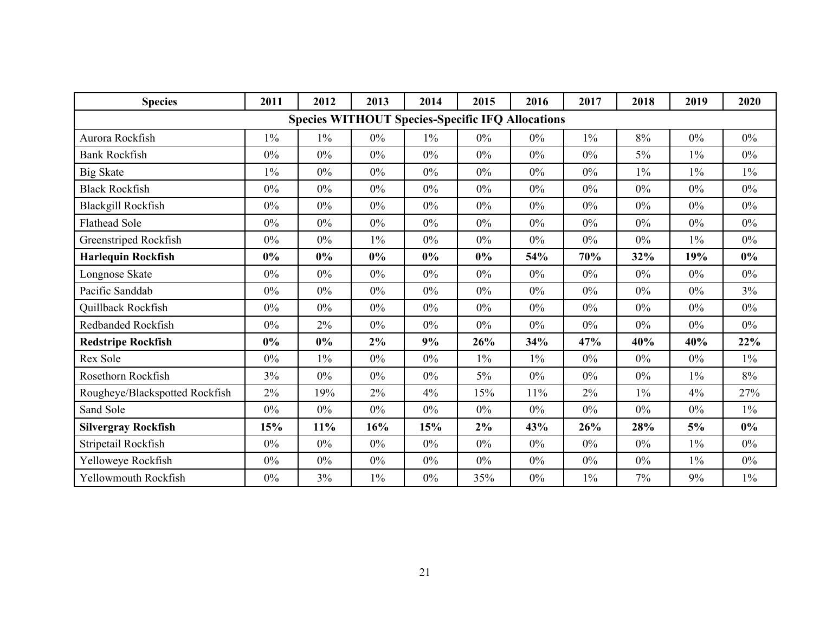| <b>Species</b>                 | 2011  | 2012  | 2013  | 2014  | 2015                                                    | 2016  | 2017  | 2018  | 2019  | 2020  |
|--------------------------------|-------|-------|-------|-------|---------------------------------------------------------|-------|-------|-------|-------|-------|
|                                |       |       |       |       | <b>Species WITHOUT Species-Specific IFQ Allocations</b> |       |       |       |       |       |
| Aurora Rockfish                | $1\%$ | $1\%$ | 0%    | $1\%$ | $0\%$                                                   | $0\%$ | $1\%$ | 8%    | 0%    | $0\%$ |
| <b>Bank Rockfish</b>           | $0\%$ | $0\%$ | $0\%$ | $0\%$ | $0\%$                                                   | $0\%$ | $0\%$ | $5\%$ | $1\%$ | $0\%$ |
| <b>Big Skate</b>               | $1\%$ | $0\%$ | 0%    | $0\%$ | $0\%$                                                   | $0\%$ | 0%    | $1\%$ | $1\%$ | $1\%$ |
| <b>Black Rockfish</b>          | $0\%$ | $0\%$ | $0\%$ | $0\%$ | $0\%$                                                   | $0\%$ | $0\%$ | $0\%$ | $0\%$ | $0\%$ |
| Blackgill Rockfish             | 0%    | $0\%$ | $0\%$ | $0\%$ | $0\%$                                                   | $0\%$ | $0\%$ | 0%    | $0\%$ | $0\%$ |
| <b>Flathead Sole</b>           | $0\%$ | $0\%$ | $0\%$ | $0\%$ | $0\%$                                                   | $0\%$ | 0%    | $0\%$ | $0\%$ | $0\%$ |
| Greenstriped Rockfish          | $0\%$ | $0\%$ | $1\%$ | $0\%$ | $0\%$                                                   | $0\%$ | $0\%$ | $0\%$ | $1\%$ | $0\%$ |
| <b>Harlequin Rockfish</b>      | 0%    | $0\%$ | $0\%$ | 0%    | 0%                                                      | 54%   | 70%   | 32%   | 19%   | 0%    |
| Longnose Skate                 | $0\%$ | $0\%$ | $0\%$ | $0\%$ | $0\%$                                                   | $0\%$ | $0\%$ | $0\%$ | $0\%$ | $0\%$ |
| Pacific Sanddab                | $0\%$ | $0\%$ | $0\%$ | $0\%$ | $0\%$                                                   | $0\%$ | $0\%$ | $0\%$ | $0\%$ | 3%    |
| Quillback Rockfish             | $0\%$ | $0\%$ | $0\%$ | $0\%$ | $0\%$                                                   | $0\%$ | 0%    | 0%    | $0\%$ | $0\%$ |
| Redbanded Rockfish             | $0\%$ | 2%    | $0\%$ | $0\%$ | $0\%$                                                   | $0\%$ | $0\%$ | $0\%$ | $0\%$ | $0\%$ |
| <b>Redstripe Rockfish</b>      | 0%    | $0\%$ | 2%    | 9%    | 26%                                                     | 34%   | 47%   | 40%   | 40%   | 22%   |
| Rex Sole                       | $0\%$ | $1\%$ | $0\%$ | $0\%$ | $1\%$                                                   | $1\%$ | $0\%$ | $0\%$ | $0\%$ | $1\%$ |
| Rosethorn Rockfish             | 3%    | $0\%$ | $0\%$ | $0\%$ | $5\%$                                                   | $0\%$ | $0\%$ | $0\%$ | $1\%$ | 8%    |
| Rougheye/Blackspotted Rockfish | 2%    | 19%   | 2%    | 4%    | 15%                                                     | 11%   | 2%    | $1\%$ | 4%    | 27%   |
| Sand Sole                      | $0\%$ | $0\%$ | $0\%$ | $0\%$ | $0\%$                                                   | $0\%$ | $0\%$ | $0\%$ | $0\%$ | $1\%$ |
| <b>Silvergray Rockfish</b>     | 15%   | 11%   | 16%   | 15%   | 2%                                                      | 43%   | 26%   | 28%   | 5%    | 0%    |
| Stripetail Rockfish            | $0\%$ | $0\%$ | $0\%$ | $0\%$ | $0\%$                                                   | $0\%$ | $0\%$ | $0\%$ | $1\%$ | $0\%$ |
| Yelloweye Rockfish             | $0\%$ | $0\%$ | $0\%$ | $0\%$ | $0\%$                                                   | $0\%$ | $0\%$ | $0\%$ | $1\%$ | $0\%$ |
| Yellowmouth Rockfish           | $0\%$ | 3%    | $1\%$ | $0\%$ | 35%                                                     | $0\%$ | $1\%$ | 7%    | 9%    | $1\%$ |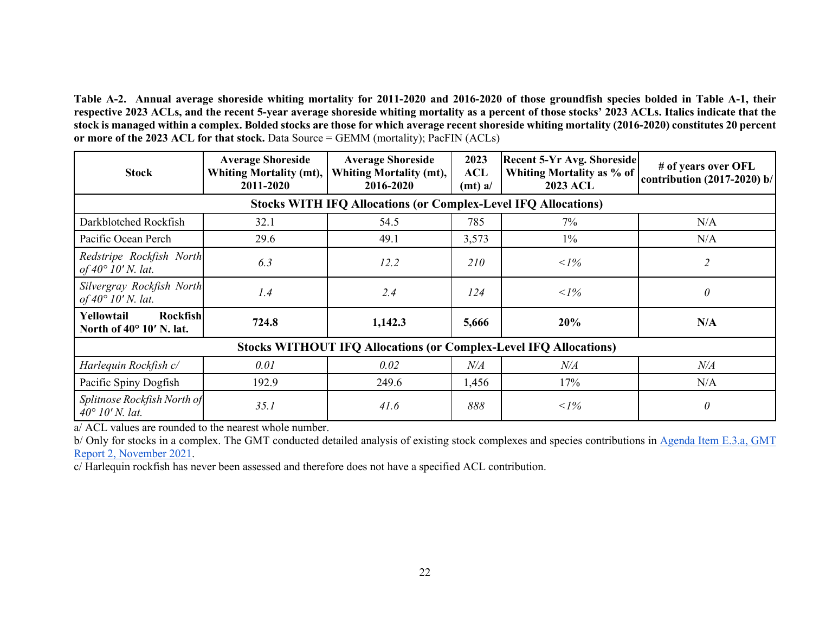**Table A-2. Annual average shoreside whiting mortality for 2011-2020 and 2016-2020 of those groundfish species bolded in Table A-1, their respective 2023 ACLs, and the recent 5-year average shoreside whiting mortality as a percent of those stocks' 2023 ACLs. Italics indicate that the stock is managed within a complex. Bolded stocks are those for which average recent shoreside whiting mortality (2016-2020) constitutes 20 percent or more of the 2023 ACL for that stock.** Data Source = GEMM (mortality); PacFIN (ACLs)

| <b>Stock</b>                                                | <b>Average Shoreside</b><br>Whiting Mortality (mt),<br>2011-2020 | <b>Average Shoreside</b><br>Whiting Mortality (mt),<br>2016-2020         | 2023<br>ACL<br>(mt) a/ | <b>Recent 5-Yr Avg. Shoreside</b><br>Whiting Mortality as % of<br><b>2023 ACL</b> | # of years over OFL<br>contribution $(2017-2020)$ b/ |
|-------------------------------------------------------------|------------------------------------------------------------------|--------------------------------------------------------------------------|------------------------|-----------------------------------------------------------------------------------|------------------------------------------------------|
|                                                             |                                                                  | <b>Stocks WITH IFQ Allocations (or Complex-Level IFQ Allocations)</b>    |                        |                                                                                   |                                                      |
| Darkblotched Rockfish                                       | 32.1                                                             | 54.5                                                                     | 785                    | 7%                                                                                | N/A                                                  |
| Pacific Ocean Perch                                         | 29.6                                                             | 49.1                                                                     | 3,573                  | $1\%$                                                                             | N/A                                                  |
| Redstripe Rockfish North<br>of $40^{\circ}$ 10' N. lat.     | 6.3                                                              | 12.2                                                                     | <i>210</i>             | $\langle$ 1%                                                                      | $\overline{c}$                                       |
| Silvergray Rockfish North<br>of $40^{\circ}$ 10' N. lat.    | 1.4                                                              | 2.4                                                                      | 124                    | $\langle$ 1%                                                                      | $\theta$                                             |
| Rockfish<br>Yellowtail<br>North of $40^{\circ}$ 10' N. lat. | 724.8                                                            | 1,142.3                                                                  | 5,666                  | 20%                                                                               | N/A                                                  |
|                                                             |                                                                  | <b>Stocks WITHOUT IFQ Allocations (or Complex-Level IFQ Allocations)</b> |                        |                                                                                   |                                                      |
| Harlequin Rockfish c/                                       | 0.01                                                             | 0.02                                                                     | $N\!/\!A$              | $N\!/\!A$                                                                         | $N\!/\!A$                                            |
| Pacific Spiny Dogfish                                       | 192.9                                                            | 249.6                                                                    | 1,456                  | 17%                                                                               | N/A                                                  |
| Splitnose Rockfish North of<br>$40^{\circ}$ 10' N. lat.     | 35.1                                                             | 41.6                                                                     | 888                    | $\langle$ 1%                                                                      | $\theta$                                             |

a/ ACL values are rounded to the nearest whole number.

b/ Only for stocks in a complex. The GMT conducted detailed analysis of existing stock complexes and species contributions in Agenda Item E.3.a, GMT [Report 2, November 2021.](https://www.pcouncil.org/documents/2021/11/e-3-a-gmt-report-2-groundfish-management-team-report-on-stock-complexes.pdf/)

c/ Harlequin rockfish has never been assessed and therefore does not have a specified ACL contribution.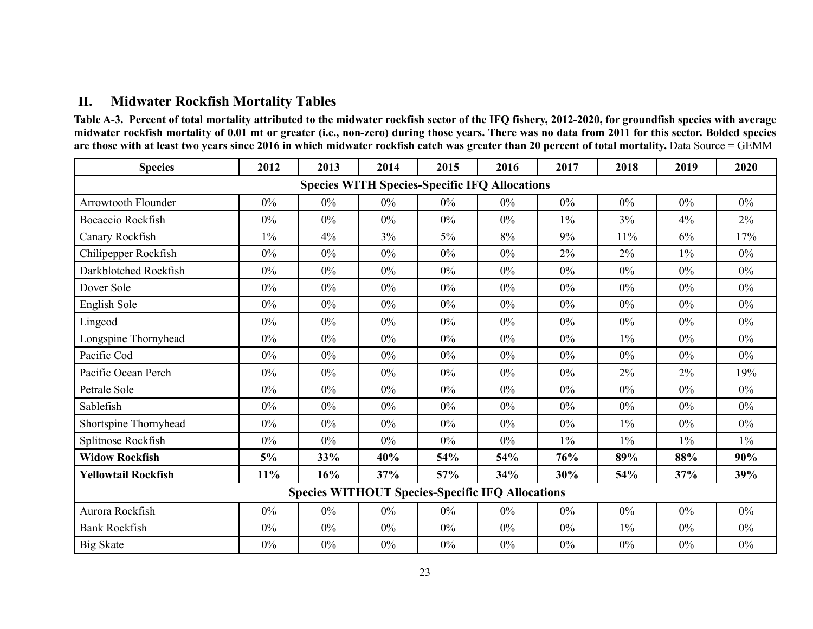## **II. Midwater Rockfish Mortality Tables**

**Table A-3. Percent of total mortality attributed to the midwater rockfish sector of the IFQ fishery, 2012-2020, for groundfish species with average midwater rockfish mortality of 0.01 mt or greater (i.e., non-zero) during those years. There was no data from 2011 for this sector. Bolded species are those with at least two years since 2016 in which midwater rockfish catch was greater than 20 percent of total mortality.** Data Source = GEMM

<span id="page-22-0"></span>

| <b>Species</b>                                          | 2012  | 2013  | 2014  | 2015  | 2016                                                 | 2017  | 2018  | 2019  | 2020  |  |  |
|---------------------------------------------------------|-------|-------|-------|-------|------------------------------------------------------|-------|-------|-------|-------|--|--|
|                                                         |       |       |       |       | <b>Species WITH Species-Specific IFQ Allocations</b> |       |       |       |       |  |  |
| <b>Arrowtooth Flounder</b>                              | $0\%$ | 0%    | 0%    | $0\%$ | 0%                                                   | $0\%$ | $0\%$ | $0\%$ | $0\%$ |  |  |
| Bocaccio Rockfish                                       | $0\%$ | $0\%$ | $0\%$ | 0%    | 0%                                                   | $1\%$ | 3%    | 4%    | $2\%$ |  |  |
| Canary Rockfish                                         | $1\%$ | 4%    | 3%    | $5\%$ | 8%                                                   | 9%    | 11%   | 6%    | 17%   |  |  |
| Chilipepper Rockfish                                    | $0\%$ | $0\%$ | $0\%$ | $0\%$ | $0\%$                                                | 2%    | 2%    | $1\%$ | $0\%$ |  |  |
| Darkblotched Rockfish                                   | $0\%$ | $0\%$ | $0\%$ | $0\%$ | $0\%$                                                | $0\%$ | $0\%$ | $0\%$ | $0\%$ |  |  |
| Dover Sole                                              | $0\%$ | 0%    | 0%    | $0\%$ | 0%                                                   | 0%    | $0\%$ | $0\%$ | $0\%$ |  |  |
| English Sole                                            | $0\%$ | $0\%$ | $0\%$ | $0\%$ | 0%                                                   | $0\%$ | $0\%$ | $0\%$ | $0\%$ |  |  |
| Lingcod                                                 | $0\%$ | 0%    | $0\%$ | $0\%$ | $0\%$                                                | $0\%$ | $0\%$ | $0\%$ | $0\%$ |  |  |
| Longspine Thornyhead                                    | $0\%$ | 0%    | $0\%$ | $0\%$ | $0\%$                                                | $0\%$ | $1\%$ | $0\%$ | $0\%$ |  |  |
| Pacific Cod                                             | $0\%$ | $0\%$ | $0\%$ | $0\%$ | $0\%$                                                | $0\%$ | $0\%$ | $0\%$ | $0\%$ |  |  |
| Pacific Ocean Perch                                     | $0\%$ | 0%    | 0%    | $0\%$ | 0%                                                   | 0%    | 2%    | 2%    | 19%   |  |  |
| Petrale Sole                                            | $0\%$ | $0\%$ | $0\%$ | $0\%$ | 0%                                                   | $0\%$ | $0\%$ | $0\%$ | $0\%$ |  |  |
| Sablefish                                               | $0\%$ | $0\%$ | $0\%$ | $0\%$ | $0\%$                                                | $0\%$ | $0\%$ | $0\%$ | $0\%$ |  |  |
| Shortspine Thornyhead                                   | $0\%$ | 0%    | $0\%$ | $0\%$ | $0\%$                                                | $0\%$ | $1\%$ | $0\%$ | $0\%$ |  |  |
| Splitnose Rockfish                                      | $0\%$ | $0\%$ | $0\%$ | $0\%$ | 0%                                                   | $1\%$ | $1\%$ | $1\%$ | $1\%$ |  |  |
| <b>Widow Rockfish</b>                                   | 5%    | 33%   | 40%   | 54%   | 54%                                                  | 76%   | 89%   | 88%   | 90%   |  |  |
| <b>Yellowtail Rockfish</b>                              | 11%   | 16%   | 37%   | 57%   | 34%                                                  | 30%   | 54%   | 37%   | 39%   |  |  |
| <b>Species WITHOUT Species-Specific IFQ Allocations</b> |       |       |       |       |                                                      |       |       |       |       |  |  |
| Aurora Rockfish                                         | $0\%$ | 0%    | $0\%$ | $0\%$ | $0\%$                                                | $0\%$ | $0\%$ | $0\%$ | $0\%$ |  |  |
| <b>Bank Rockfish</b>                                    | $0\%$ | $0\%$ | $0\%$ | $0\%$ | $0\%$                                                | $0\%$ | $1\%$ | $0\%$ | $0\%$ |  |  |
| <b>Big Skate</b>                                        | $0\%$ | $0\%$ | $0\%$ | $0\%$ | $0\%$                                                | 0%    | $0\%$ | $0\%$ | $0\%$ |  |  |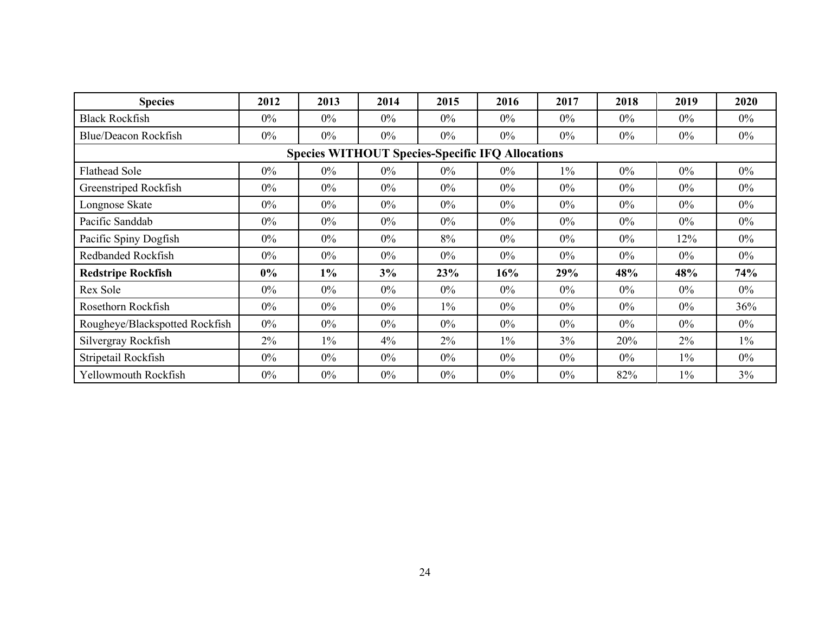| <b>Species</b>                                          | 2012  | 2013  | 2014  | 2015  | 2016  | 2017  | 2018  | 2019  | 2020  |  |  |  |  |
|---------------------------------------------------------|-------|-------|-------|-------|-------|-------|-------|-------|-------|--|--|--|--|
| <b>Black Rockfish</b>                                   | $0\%$ | $0\%$ | $0\%$ | $0\%$ | $0\%$ | $0\%$ | $0\%$ | $0\%$ | $0\%$ |  |  |  |  |
| Blue/Deacon Rockfish                                    | $0\%$ | $0\%$ | $0\%$ | $0\%$ | $0\%$ | $0\%$ | $0\%$ | $0\%$ | $0\%$ |  |  |  |  |
| <b>Species WITHOUT Species-Specific IFQ Allocations</b> |       |       |       |       |       |       |       |       |       |  |  |  |  |
| <b>Flathead Sole</b>                                    | $0\%$ | $0\%$ | $0\%$ | $0\%$ | $0\%$ | $1\%$ | $0\%$ | $0\%$ | $0\%$ |  |  |  |  |
| Greenstriped Rockfish                                   | $0\%$ | $0\%$ | $0\%$ | $0\%$ | $0\%$ | $0\%$ | $0\%$ | $0\%$ | $0\%$ |  |  |  |  |
| Longnose Skate                                          | $0\%$ | $0\%$ | $0\%$ | $0\%$ | $0\%$ | $0\%$ | $0\%$ | $0\%$ | $0\%$ |  |  |  |  |
| Pacific Sanddab                                         | $0\%$ | $0\%$ | $0\%$ | $0\%$ | $0\%$ | $0\%$ | $0\%$ | $0\%$ | $0\%$ |  |  |  |  |
| Pacific Spiny Dogfish                                   | $0\%$ | $0\%$ | $0\%$ | 8%    | $0\%$ | $0\%$ | $0\%$ | 12%   | $0\%$ |  |  |  |  |
| Redbanded Rockfish                                      | $0\%$ | $0\%$ | $0\%$ | $0\%$ | $0\%$ | $0\%$ | $0\%$ | $0\%$ | $0\%$ |  |  |  |  |
| <b>Redstripe Rockfish</b>                               | $0\%$ | $1\%$ | 3%    | 23%   | 16%   | 29%   | 48%   | 48%   | 74%   |  |  |  |  |
| Rex Sole                                                | $0\%$ | $0\%$ | $0\%$ | $0\%$ | $0\%$ | $0\%$ | $0\%$ | $0\%$ | $0\%$ |  |  |  |  |
| Rosethorn Rockfish                                      | $0\%$ | $0\%$ | $0\%$ | $1\%$ | $0\%$ | $0\%$ | $0\%$ | $0\%$ | 36%   |  |  |  |  |
| Rougheye/Blackspotted Rockfish                          | $0\%$ | $0\%$ | $0\%$ | $0\%$ | $0\%$ | $0\%$ | $0\%$ | $0\%$ | $0\%$ |  |  |  |  |
| Silvergray Rockfish                                     | 2%    | $1\%$ | 4%    | 2%    | $1\%$ | 3%    | 20%   | 2%    | $1\%$ |  |  |  |  |
| Stripetail Rockfish                                     | $0\%$ | $0\%$ | $0\%$ | $0\%$ | $0\%$ | $0\%$ | $0\%$ | $1\%$ | $0\%$ |  |  |  |  |
| Yellowmouth Rockfish                                    | $0\%$ | $0\%$ | $0\%$ | $0\%$ | $0\%$ | $0\%$ | 82%   | $1\%$ | 3%    |  |  |  |  |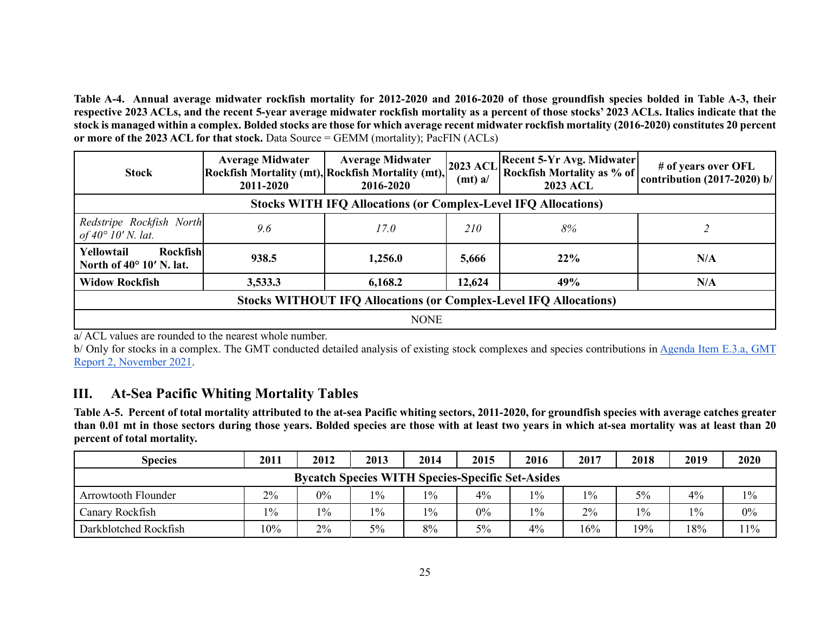**Table A-4. Annual average midwater rockfish mortality for 2012-2020 and 2016-2020 of those groundfish species bolded in Table A-3, their respective 2023 ACLs, and the recent 5-year average midwater rockfish mortality as a percent of those stocks' 2023 ACLs. Italics indicate that the stock is managed within a complex. Bolded stocks are those for which average recent midwater rockfish mortality (2016-2020) constitutes 20 percent or more of the 2023 ACL for that stock.** Data Source = GEMM (mortality); PacFIN (ACLs)

| <b>Stock</b>                                                             | <b>Average Midwater</b><br>Rockfish Mortality (mt), Rockfish Mortality (mt),<br>2011-2020 | <b>Average Midwater</b><br>2016-2020 | <b>Recent 5-Yr Avg. Midwater</b><br><b>2023 ACL</b><br>Rockfish Mortality as % of<br>$(mt)$ a/<br><b>2023 ACL</b> |     | # of years over OFL<br>contribution $(2017-2020)$ b/ |  |  |  |  |  |  |  |
|--------------------------------------------------------------------------|-------------------------------------------------------------------------------------------|--------------------------------------|-------------------------------------------------------------------------------------------------------------------|-----|------------------------------------------------------|--|--|--|--|--|--|--|
| <b>Stocks WITH IFQ Allocations (or Complex-Level IFQ Allocations)</b>    |                                                                                           |                                      |                                                                                                                   |     |                                                      |  |  |  |  |  |  |  |
| Redstripe Rockfish North<br>of $40^{\circ}$ 10' N. lat.                  | 9.6                                                                                       | 17.0                                 | 210                                                                                                               | 8%  |                                                      |  |  |  |  |  |  |  |
| Yellowtail<br>Rockfish<br>North of $40^{\circ}$ 10' N. lat.              | 938.5                                                                                     | 1,256.0                              | 5,666                                                                                                             | 22% | N/A                                                  |  |  |  |  |  |  |  |
| <b>Widow Rockfish</b>                                                    | 3,533.3                                                                                   | 6,168.2                              | 12,624                                                                                                            | 49% | N/A                                                  |  |  |  |  |  |  |  |
| <b>Stocks WITHOUT IFQ Allocations (or Complex-Level IFQ Allocations)</b> |                                                                                           |                                      |                                                                                                                   |     |                                                      |  |  |  |  |  |  |  |
|                                                                          | <b>NONE</b>                                                                               |                                      |                                                                                                                   |     |                                                      |  |  |  |  |  |  |  |

a/ ACL values are rounded to the nearest whole number.

b/ Only for stocks in a complex. The GMT conducted detailed analysis of existing stock complexes and species contributions in Agenda Item E.3.a, GMT [Report 2, November 2021.](https://www.pcouncil.org/documents/2021/11/e-3-a-gmt-report-2-groundfish-management-team-report-on-stock-complexes.pdf/)

## **III. At-Sea Pacific Whiting Mortality Tables**

**Table A-5. Percent of total mortality attributed to the at-sea Pacific whiting sectors, 2011-2020, for groundfish species with average catches greater than 0.01 mt in those sectors during those years. Bolded species are those with at least two years in which at-sea mortality was at least than 20 percent of total mortality.**

<span id="page-24-0"></span>

| <b>Species</b>                                          | 2011  | 2012  | 2013  | 2014  | 2015  | 2016  | 2017 | 2018  | 2019  | 2020  |  |
|---------------------------------------------------------|-------|-------|-------|-------|-------|-------|------|-------|-------|-------|--|
| <b>Bycatch Species WITH Species-Specific Set-Asides</b> |       |       |       |       |       |       |      |       |       |       |  |
| Arrowtooth Flounder                                     | $2\%$ | $0\%$ | $1\%$ | $1\%$ | $4\%$ | $1\%$ | 10/0 | 5%    | 4%    | $1\%$ |  |
| Canary Rockfish                                         | $1\%$ | $1\%$ | $1\%$ | $1\%$ | 0%    | $1\%$ | 2%   | $1\%$ | $1\%$ | $0\%$ |  |
| Darkblotched Rockfish                                   | 10%   | 2%    | 5%    | 8%    | 5%    | 4%    | 16%  | 19%   | 18%   | 11%   |  |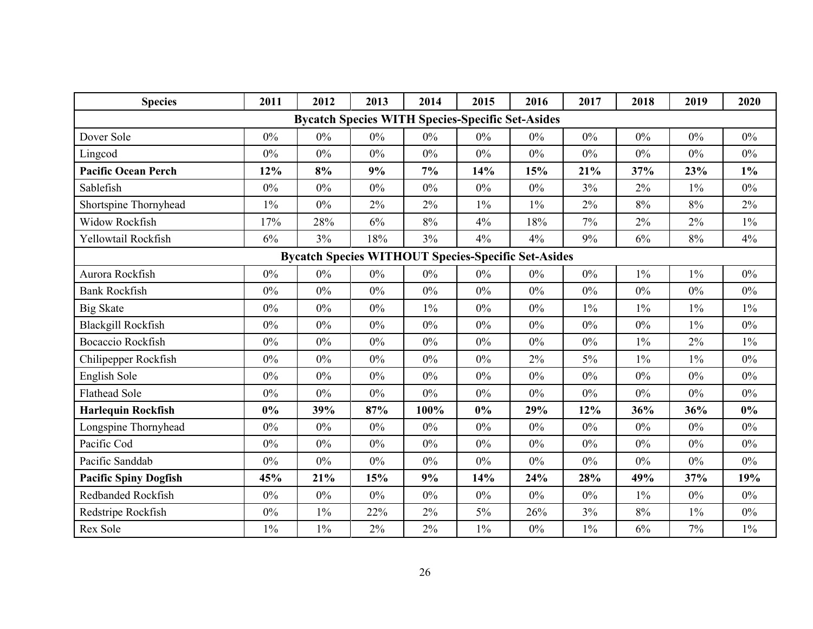| <b>Species</b>                                             | 2011  | 2012  | 2013  | 2014  | 2015                                                    | 2016  | 2017  | 2018  | 2019  | 2020  |  |
|------------------------------------------------------------|-------|-------|-------|-------|---------------------------------------------------------|-------|-------|-------|-------|-------|--|
|                                                            |       |       |       |       | <b>Bycatch Species WITH Species-Specific Set-Asides</b> |       |       |       |       |       |  |
| Dover Sole                                                 | $0\%$ | $0\%$ | $0\%$ | $0\%$ | $0\%$                                                   | $0\%$ | $0\%$ | $0\%$ | $0\%$ | $0\%$ |  |
| Lingcod                                                    | $0\%$ | $0\%$ | $0\%$ | $0\%$ | $0\%$                                                   | $0\%$ | $0\%$ | $0\%$ | $0\%$ | $0\%$ |  |
| <b>Pacific Ocean Perch</b>                                 | 12%   | 8%    | 9%    | 7%    | 14%                                                     | 15%   | 21%   | 37%   | 23%   | $1\%$ |  |
| Sablefish                                                  | $0\%$ | $0\%$ | $0\%$ | $0\%$ | $0\%$                                                   | $0\%$ | 3%    | 2%    | $1\%$ | $0\%$ |  |
| Shortspine Thornyhead                                      | $1\%$ | $0\%$ | 2%    | 2%    | $1\%$                                                   | $1\%$ | $2\%$ | $8\%$ | 8%    | $2\%$ |  |
| Widow Rockfish                                             | 17%   | 28%   | 6%    | 8%    | 4%                                                      | 18%   | 7%    | 2%    | $2\%$ | $1\%$ |  |
| Yellowtail Rockfish                                        | 6%    | 3%    | 18%   | 3%    | 4%                                                      | 4%    | 9%    | 6%    | $8\%$ | 4%    |  |
| <b>Bycatch Species WITHOUT Species-Specific Set-Asides</b> |       |       |       |       |                                                         |       |       |       |       |       |  |
| Aurora Rockfish                                            | $0\%$ | 0%    | $0\%$ | $0\%$ | 0%                                                      | 0%    | $0\%$ | $1\%$ | $1\%$ | $0\%$ |  |
| <b>Bank Rockfish</b>                                       | $0\%$ | $0\%$ | $0\%$ | $0\%$ | $0\%$                                                   | $0\%$ | $0\%$ | $0\%$ | 0%    | $0\%$ |  |
| <b>Big Skate</b>                                           | $0\%$ | $0\%$ | $0\%$ | $1\%$ | $0\%$                                                   | $0\%$ | $1\%$ | $1\%$ | $1\%$ | $1\%$ |  |
| <b>Blackgill Rockfish</b>                                  | $0\%$ | 0%    | $0\%$ | $0\%$ | $0\%$                                                   | $0\%$ | $0\%$ | $0\%$ | $1\%$ | $0\%$ |  |
| <b>Bocaccio Rockfish</b>                                   | $0\%$ | 0%    | $0\%$ | $0\%$ | 0%                                                      | $0\%$ | $0\%$ | $1\%$ | 2%    | $1\%$ |  |
| Chilipepper Rockfish                                       | $0\%$ | $0\%$ | $0\%$ | $0\%$ | $0\%$                                                   | 2%    | $5\%$ | $1\%$ | $1\%$ | $0\%$ |  |
| English Sole                                               | $0\%$ | $0\%$ | $0\%$ | $0\%$ | 0%                                                      | $0\%$ | $0\%$ | $0\%$ | $0\%$ | $0\%$ |  |
| <b>Flathead Sole</b>                                       | $0\%$ | $0\%$ | $0\%$ | $0\%$ | 0%                                                      | $0\%$ | $0\%$ | $0\%$ | $0\%$ | $0\%$ |  |
| <b>Harlequin Rockfish</b>                                  | $0\%$ | 39%   | 87%   | 100%  | $0\%$                                                   | 29%   | 12%   | 36%   | 36%   | $0\%$ |  |
| Longspine Thornyhead                                       | $0\%$ | $0\%$ | $0\%$ | $0\%$ | $0\%$                                                   | $0\%$ | $0\%$ | $0\%$ | $0\%$ | $0\%$ |  |
| Pacific Cod                                                | $0\%$ | 0%    | $0\%$ | $0\%$ | 0%                                                      | $0\%$ | $0\%$ | $0\%$ | $0\%$ | $0\%$ |  |
| Pacific Sanddab                                            | $0\%$ | $0\%$ | $0\%$ | $0\%$ | $0\%$                                                   | $0\%$ | $0\%$ | $0\%$ | $0\%$ | $0\%$ |  |
| <b>Pacific Spiny Dogfish</b>                               | 45%   | 21%   | 15%   | 9%    | 14%                                                     | 24%   | 28%   | 49%   | 37%   | 19%   |  |
| Redbanded Rockfish                                         | $0\%$ | $0\%$ | $0\%$ | $0\%$ | $0\%$                                                   | $0\%$ | $0\%$ | $1\%$ | $0\%$ | $0\%$ |  |
| Redstripe Rockfish                                         | $0\%$ | $1\%$ | 22%   | 2%    | 5%                                                      | 26%   | 3%    | $8\%$ | $1\%$ | $0\%$ |  |
| Rex Sole                                                   | $1\%$ | $1\%$ | 2%    | 2%    | $1\%$                                                   | $0\%$ | $1\%$ | 6%    | 7%    | $1\%$ |  |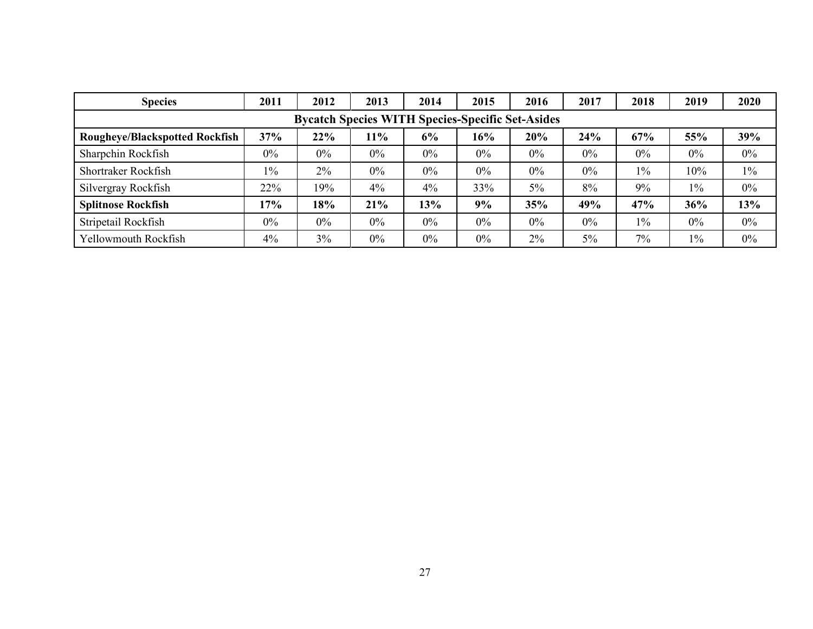| <b>Species</b>                                          | 2011  | 2012  | 2013  | 2014  | 2015  | 2016  | 2017  | 2018  | 2019  | 2020  |  |  |  |
|---------------------------------------------------------|-------|-------|-------|-------|-------|-------|-------|-------|-------|-------|--|--|--|
| <b>Bycatch Species WITH Species-Specific Set-Asides</b> |       |       |       |       |       |       |       |       |       |       |  |  |  |
| <b>Rougheye/Blackspotted Rockfish</b>                   | 37%   | 22%   | 11%   | 6%    | 16%   | 20%   | 24%   | 67%   | 55%   | 39%   |  |  |  |
| Sharpchin Rockfish                                      | $0\%$ | $0\%$ | $0\%$ | $0\%$ | $0\%$ | $0\%$ | $0\%$ | $0\%$ | $0\%$ | $0\%$ |  |  |  |
| Shortraker Rockfish                                     | $1\%$ | 2%    | $0\%$ | $0\%$ | $0\%$ | $0\%$ | $0\%$ | $1\%$ | 10%   | $1\%$ |  |  |  |
| Silvergray Rockfish                                     | 22%   | 19%   | 4%    | 4%    | 33%   | 5%    | 8%    | 9%    | $1\%$ | $0\%$ |  |  |  |
| <b>Splitnose Rockfish</b>                               | 17%   | 18%   | 21%   | 13%   | 9%    | 35%   | 49%   | 47%   | 36%   | 13%   |  |  |  |
| Stripetail Rockfish                                     | $0\%$ | 0%    | $0\%$ | $0\%$ | $0\%$ | $0\%$ | $0\%$ | $1\%$ | $0\%$ | $0\%$ |  |  |  |
| Yellowmouth Rockfish                                    | 4%    | 3%    | $0\%$ | $0\%$ | $0\%$ | 2%    | $5\%$ | 7%    | $1\%$ | $0\%$ |  |  |  |